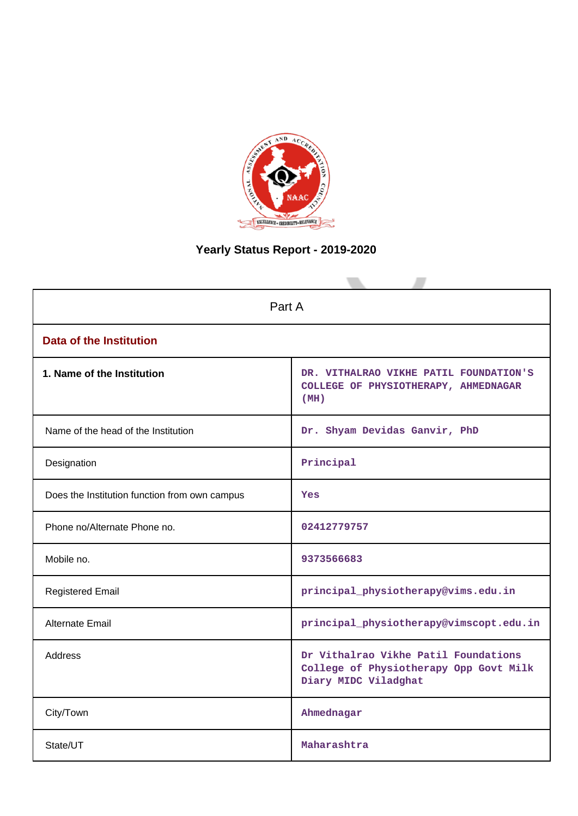

# **Yearly Status Report - 2019-2020**

| Part A                                        |                                                                                                        |  |  |
|-----------------------------------------------|--------------------------------------------------------------------------------------------------------|--|--|
| <b>Data of the Institution</b>                |                                                                                                        |  |  |
| 1. Name of the Institution                    | DR. VITHALRAO VIKHE PATIL FOUNDATION'S<br>COLLEGE OF PHYSIOTHERAPY, AHMEDNAGAR<br>(MH)                 |  |  |
| Name of the head of the Institution           | Dr. Shyam Devidas Ganvir, PhD                                                                          |  |  |
| Designation                                   | Principal                                                                                              |  |  |
| Does the Institution function from own campus | Yes                                                                                                    |  |  |
| Phone no/Alternate Phone no.                  | 02412779757                                                                                            |  |  |
| Mobile no.                                    | 9373566683                                                                                             |  |  |
| <b>Registered Email</b>                       | principal_physiotherapy@vims.edu.in                                                                    |  |  |
| Alternate Email                               | principal_physiotherapy@vimscopt.edu.in                                                                |  |  |
| <b>Address</b>                                | Dr Vithalrao Vikhe Patil Foundations<br>College of Physiotherapy Opp Govt Milk<br>Diary MIDC Viladghat |  |  |
| City/Town                                     | Ahmednagar                                                                                             |  |  |
| State/UT                                      | Maharashtra                                                                                            |  |  |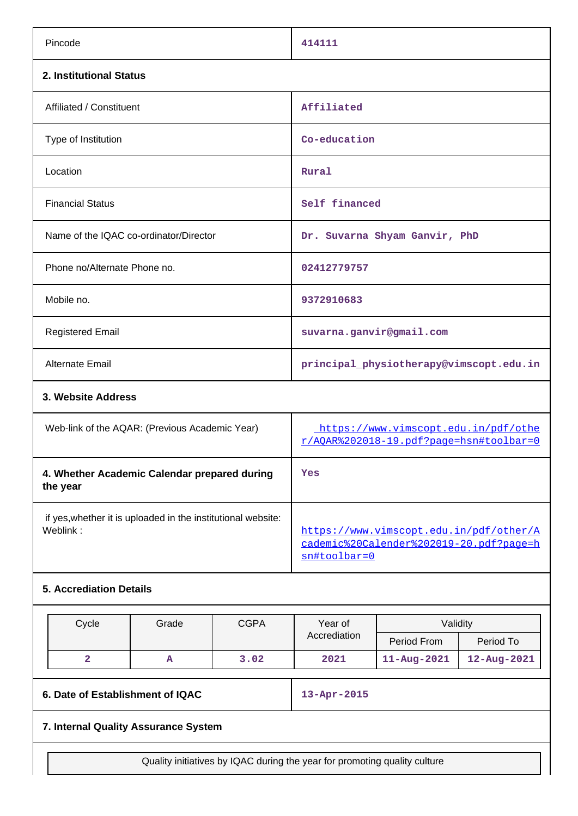| Pincode                                                                  | 414111                                                                                             |  |
|--------------------------------------------------------------------------|----------------------------------------------------------------------------------------------------|--|
| 2. Institutional Status                                                  |                                                                                                    |  |
| Affiliated / Constituent                                                 | Affiliated                                                                                         |  |
| Type of Institution                                                      | Co-education                                                                                       |  |
| Location                                                                 | Rural                                                                                              |  |
| <b>Financial Status</b>                                                  | Self financed                                                                                      |  |
| Name of the IQAC co-ordinator/Director                                   | Dr. Suvarna Shyam Ganvir, PhD                                                                      |  |
| Phone no/Alternate Phone no.                                             | 02412779757                                                                                        |  |
| Mobile no.                                                               | 9372910683                                                                                         |  |
| <b>Registered Email</b>                                                  | suvarna.ganvir@gmail.com                                                                           |  |
| <b>Alternate Email</b>                                                   | principal_physiotherapy@vimscopt.edu.in                                                            |  |
| 3. Website Address                                                       |                                                                                                    |  |
| Web-link of the AQAR: (Previous Academic Year)                           | https://www.vimscopt.edu.in/pdf/othe<br>r/AOAR%202018-19.pdf?page=hsn#toolbar=0                    |  |
| 4. Whether Academic Calendar prepared during<br>the year                 | Yes                                                                                                |  |
| if yes, whether it is uploaded in the institutional website:<br>Weblink: | https://www.vimscopt.edu.in/pdf/other/A<br>cademic%20Calender%202019-20.pdf?page=h<br>sn#toolbar=0 |  |

# **5. Accrediation Details**

| Cycle | Grade | <b>CGPA</b> | Year of      | Validity          |             |
|-------|-------|-------------|--------------|-------------------|-------------|
|       |       |             | Accrediation | Period From       | Period To   |
|       | A     | 3.02        | 2021         | $11 - Aug - 2021$ | 12-Aug-2021 |

# **6. Date of Establishment of IQAC 13-Apr-2015**

# **7. Internal Quality Assurance System**

Quality initiatives by IQAC during the year for promoting quality culture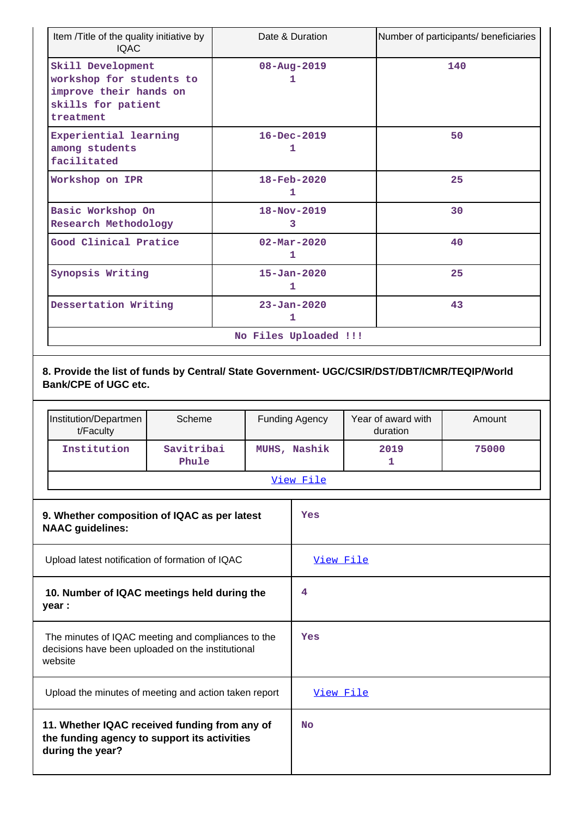| Item /Title of the quality initiative by<br><b>IQAC</b>                                                    | Date & Duration               | Number of participants/ beneficiaries |
|------------------------------------------------------------------------------------------------------------|-------------------------------|---------------------------------------|
| Skill Development<br>workshop for students to<br>improve their hands on<br>skills for patient<br>treatment | $08 - Aug - 2019$<br>ı        | 140                                   |
| Experiential learning<br>among students<br>facilitated                                                     | $16 - Dec - 2019$<br>1        | 50                                    |
| Workshop on IPR                                                                                            | 18-Feb-2020<br>1              | 25                                    |
| Basic Workshop On<br>Research Methodology                                                                  | $18 - Nov - 2019$<br>3        | 30                                    |
| Good Clinical Pratice                                                                                      | $02 - \text{Mar} - 2020$<br>1 | 40                                    |
| Synopsis Writing                                                                                           | $15 - Jan - 2020$<br>1        | 25                                    |
| Dessertation Writing                                                                                       | $23 - Jan - 2020$<br>1        | 43                                    |
|                                                                                                            | No Files Uploaded !!!         |                                       |

# **8. Provide the list of funds by Central/ State Government- UGC/CSIR/DST/DBT/ICMR/TEQIP/World Bank/CPE of UGC etc.**

| Institution/Departmen<br>t/Faculty | Scheme              | <b>Funding Agency</b> | Year of award with<br>duration | Amount |  |
|------------------------------------|---------------------|-----------------------|--------------------------------|--------|--|
| Institution                        | Savitribai<br>Phule | MUHS, Nashik          | 2019                           | 75000  |  |
| View File                          |                     |                       |                                |        |  |

| 9. Whether composition of IQAC as per latest<br><b>NAAC</b> guidelines:                                            | Yes       |
|--------------------------------------------------------------------------------------------------------------------|-----------|
| Upload latest notification of formation of IQAC                                                                    | View File |
| 10. Number of IQAC meetings held during the<br>year :                                                              | 4         |
| The minutes of IQAC meeting and compliances to the<br>decisions have been uploaded on the institutional<br>website | Yes       |
| Upload the minutes of meeting and action taken report                                                              | View File |
| 11. Whether IQAC received funding from any of<br>the funding agency to support its activities<br>during the year?  | No        |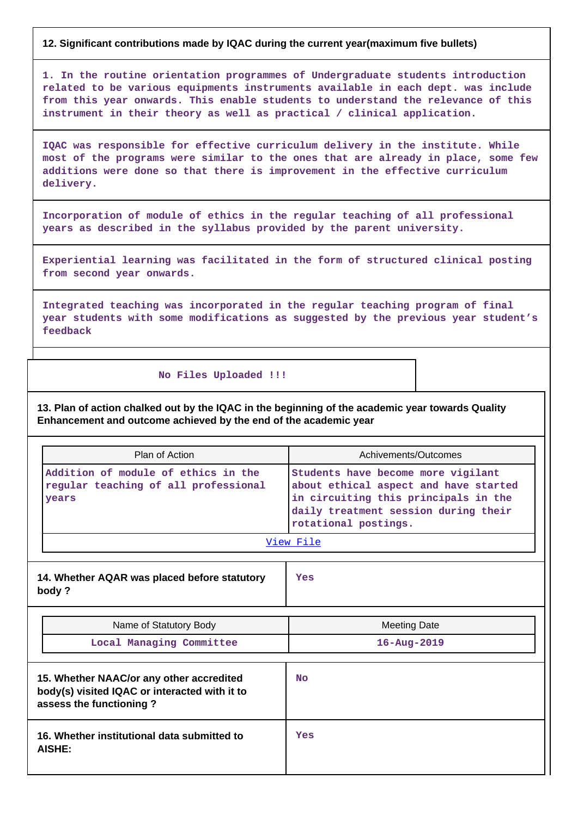### **12. Significant contributions made by IQAC during the current year(maximum five bullets)**

**1. In the routine orientation programmes of Undergraduate students introduction related to be various equipments instruments available in each dept. was include from this year onwards. This enable students to understand the relevance of this instrument in their theory as well as practical / clinical application.**

**IQAC was responsible for effective curriculum delivery in the institute. While most of the programs were similar to the ones that are already in place, some few additions were done so that there is improvement in the effective curriculum delivery.**

**Incorporation of module of ethics in the regular teaching of all professional years as described in the syllabus provided by the parent university.**

**Experiential learning was facilitated in the form of structured clinical posting from second year onwards.**

**Integrated teaching was incorporated in the regular teaching program of final year students with some modifications as suggested by the previous year student's feedback**

#### **No Files Uploaded !!!**

**13. Plan of action chalked out by the IQAC in the beginning of the academic year towards Quality Enhancement and outcome achieved by the end of the academic year**

| Plan of Action                                                                                                       | Achivements/Outcomes                                                                                                                                                                |
|----------------------------------------------------------------------------------------------------------------------|-------------------------------------------------------------------------------------------------------------------------------------------------------------------------------------|
| Addition of module of ethics in the<br>regular teaching of all professional<br>vears                                 | Students have become more vigilant<br>about ethical aspect and have started<br>in circuiting this principals in the<br>daily treatment session during their<br>rotational postings. |
|                                                                                                                      | View File                                                                                                                                                                           |
| 14. Whether AQAR was placed before statutory<br>body?                                                                | Yes                                                                                                                                                                                 |
| Name of Statutory Body                                                                                               | <b>Meeting Date</b>                                                                                                                                                                 |
| Local Managing Committee                                                                                             | $16 - Aug - 2019$                                                                                                                                                                   |
| 15. Whether NAAC/or any other accredited<br>body(s) visited IQAC or interacted with it to<br>assess the functioning? | <b>No</b>                                                                                                                                                                           |
| 16. Whether institutional data submitted to<br>AISHE:                                                                | Yes                                                                                                                                                                                 |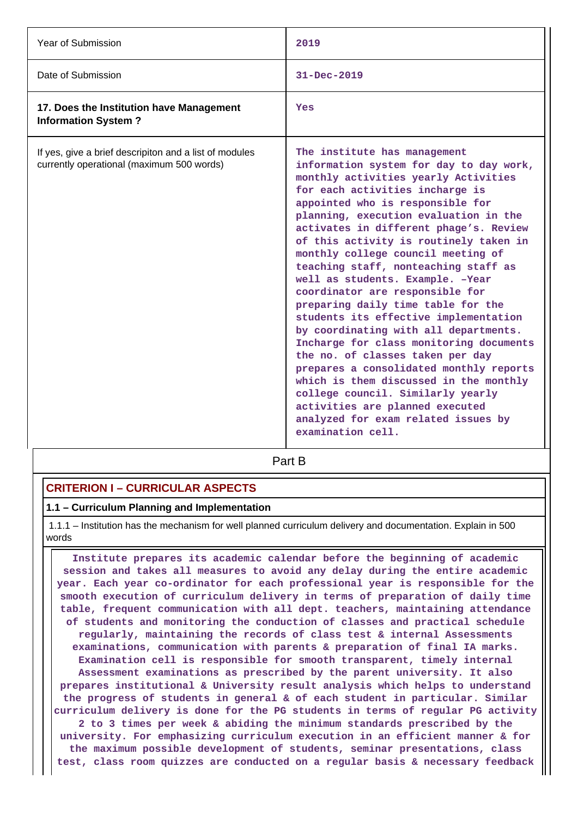| Year of Submission                                                                                  | 2019                                                                                                                                                                                                                                                                                                                                                                                                                                                                                                                                                                                                                                                                                                                                                                                                                                                                                                      |
|-----------------------------------------------------------------------------------------------------|-----------------------------------------------------------------------------------------------------------------------------------------------------------------------------------------------------------------------------------------------------------------------------------------------------------------------------------------------------------------------------------------------------------------------------------------------------------------------------------------------------------------------------------------------------------------------------------------------------------------------------------------------------------------------------------------------------------------------------------------------------------------------------------------------------------------------------------------------------------------------------------------------------------|
| Date of Submission                                                                                  | $31 - Dec - 2019$                                                                                                                                                                                                                                                                                                                                                                                                                                                                                                                                                                                                                                                                                                                                                                                                                                                                                         |
| 17. Does the Institution have Management<br><b>Information System?</b>                              | Yes                                                                                                                                                                                                                                                                                                                                                                                                                                                                                                                                                                                                                                                                                                                                                                                                                                                                                                       |
| If yes, give a brief descripiton and a list of modules<br>currently operational (maximum 500 words) | The institute has management<br>information system for day to day work,<br>monthly activities yearly Activities<br>for each activities incharge is<br>appointed who is responsible for<br>planning, execution evaluation in the<br>activates in different phage's. Review<br>of this activity is routinely taken in<br>monthly college council meeting of<br>teaching staff, nonteaching staff as<br>well as students. Example. - Year<br>coordinator are responsible for<br>preparing daily time table for the<br>students its effective implementation<br>by coordinating with all departments.<br>Incharge for class monitoring documents<br>the no. of classes taken per day<br>prepares a consolidated monthly reports<br>which is them discussed in the monthly<br>college council. Similarly yearly<br>activities are planned executed<br>analyzed for exam related issues by<br>examination cell. |

**Part B** 

# **CRITERION I – CURRICULAR ASPECTS**

### **1.1 – Curriculum Planning and Implementation**

 1.1.1 – Institution has the mechanism for well planned curriculum delivery and documentation. Explain in 500 words

 **Institute prepares its academic calendar before the beginning of academic session and takes all measures to avoid any delay during the entire academic year. Each year co-ordinator for each professional year is responsible for the smooth execution of curriculum delivery in terms of preparation of daily time table, frequent communication with all dept. teachers, maintaining attendance of students and monitoring the conduction of classes and practical schedule regularly, maintaining the records of class test & internal Assessments examinations, communication with parents & preparation of final IA marks. Examination cell is responsible for smooth transparent, timely internal Assessment examinations as prescribed by the parent university. It also prepares institutional & University result analysis which helps to understand the progress of students in general & of each student in particular. Similar curriculum delivery is done for the PG students in terms of regular PG activity 2 to 3 times per week & abiding the minimum standards prescribed by the university. For emphasizing curriculum execution in an efficient manner & for the maximum possible development of students, seminar presentations, class test, class room quizzes are conducted on a regular basis & necessary feedback**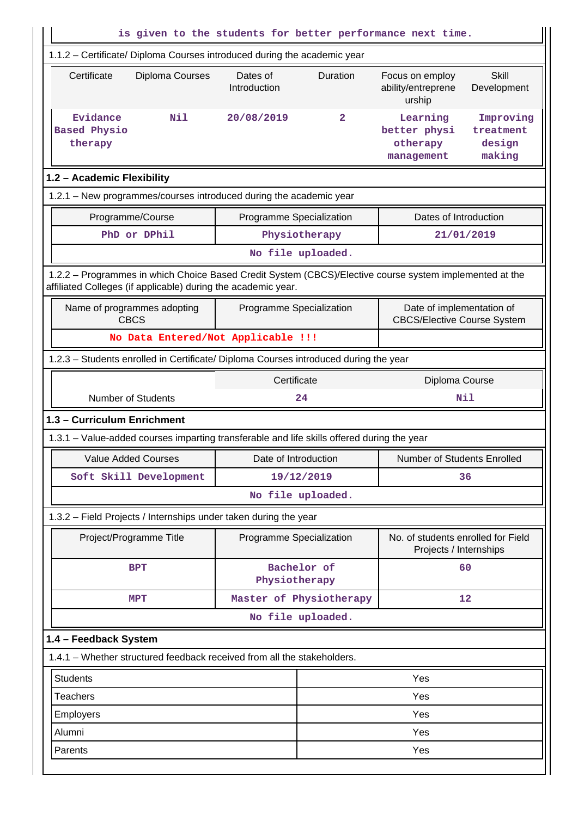| is given to the students for better performance next time.                                                                                                               |                              |          |                                                                 |                                            |
|--------------------------------------------------------------------------------------------------------------------------------------------------------------------------|------------------------------|----------|-----------------------------------------------------------------|--------------------------------------------|
| 1.1.2 - Certificate/ Diploma Courses introduced during the academic year                                                                                                 |                              |          |                                                                 |                                            |
| Certificate<br>Diploma Courses                                                                                                                                           | Dates of<br>Introduction     | Duration | Focus on employ<br>ability/entreprene<br>urship                 | <b>Skill</b><br>Development                |
| N11<br>Evidance<br><b>Based Physio</b><br>therapy                                                                                                                        | 20/08/2019                   | 2        | Learning<br>better physi<br>otherapy<br>management              | Improving<br>treatment<br>design<br>making |
| 1.2 - Academic Flexibility                                                                                                                                               |                              |          |                                                                 |                                            |
| 1.2.1 - New programmes/courses introduced during the academic year                                                                                                       |                              |          |                                                                 |                                            |
| Programme/Course                                                                                                                                                         | Programme Specialization     |          | Dates of Introduction                                           |                                            |
| PhD or DPhil                                                                                                                                                             | Physiotherapy                |          |                                                                 | 21/01/2019                                 |
|                                                                                                                                                                          | No file uploaded.            |          |                                                                 |                                            |
| 1.2.2 - Programmes in which Choice Based Credit System (CBCS)/Elective course system implemented at the<br>affiliated Colleges (if applicable) during the academic year. |                              |          |                                                                 |                                            |
| Name of programmes adopting<br><b>CBCS</b>                                                                                                                               | Programme Specialization     |          | Date of implementation of<br><b>CBCS/Elective Course System</b> |                                            |
| No Data Entered/Not Applicable !!!                                                                                                                                       |                              |          |                                                                 |                                            |
| 1.2.3 - Students enrolled in Certificate/ Diploma Courses introduced during the year                                                                                     |                              |          |                                                                 |                                            |
|                                                                                                                                                                          | Certificate                  |          | Diploma Course                                                  |                                            |
| <b>Number of Students</b>                                                                                                                                                | 24                           |          |                                                                 | Nil                                        |
| 1.3 - Curriculum Enrichment                                                                                                                                              |                              |          |                                                                 |                                            |
| 1.3.1 – Value-added courses imparting transferable and life skills offered during the year                                                                               |                              |          |                                                                 |                                            |
| Value Added Courses                                                                                                                                                      | Date of Introduction         |          | Number of Students Enrolled                                     |                                            |
| Soft Skill Development                                                                                                                                                   | 19/12/2019                   |          |                                                                 | 36                                         |
|                                                                                                                                                                          | No file uploaded.            |          |                                                                 |                                            |
| 1.3.2 - Field Projects / Internships under taken during the year                                                                                                         |                              |          |                                                                 |                                            |
| Project/Programme Title                                                                                                                                                  | Programme Specialization     |          | No. of students enrolled for Field<br>Projects / Internships    |                                            |
| <b>BPT</b>                                                                                                                                                               | Bachelor of<br>Physiotherapy |          |                                                                 | 60                                         |
| <b>MPT</b>                                                                                                                                                               | Master of Physiotherapy      |          |                                                                 | 12                                         |
|                                                                                                                                                                          | No file uploaded.            |          |                                                                 |                                            |
| 1.4 - Feedback System                                                                                                                                                    |                              |          |                                                                 |                                            |
| 1.4.1 - Whether structured feedback received from all the stakeholders.                                                                                                  |                              |          |                                                                 |                                            |
| <b>Students</b>                                                                                                                                                          |                              |          | Yes                                                             |                                            |
| Teachers                                                                                                                                                                 |                              |          | Yes                                                             |                                            |
| Employers                                                                                                                                                                |                              |          | Yes                                                             |                                            |
| Alumni<br>Yes                                                                                                                                                            |                              |          |                                                                 |                                            |
| Parents                                                                                                                                                                  |                              |          | Yes                                                             |                                            |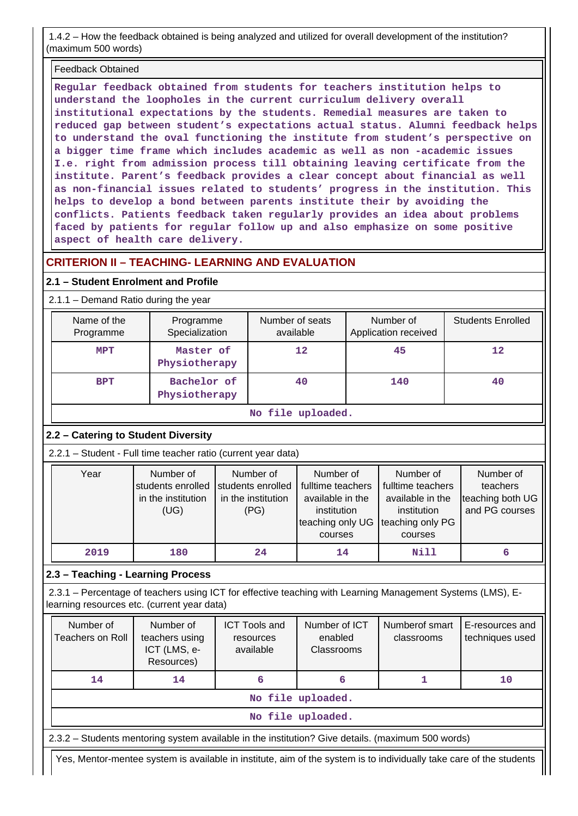1.4.2 – How the feedback obtained is being analyzed and utilized for overall development of the institution? (maximum 500 words)

### Feedback Obtained

**Regular feedback obtained from students for teachers institution helps to understand the loopholes in the current curriculum delivery overall institutional expectations by the students. Remedial measures are taken to reduced gap between student's expectations actual status. Alumni feedback helps to understand the oval functioning the institute from student's perspective on a bigger time frame which includes academic as well as non -academic issues I.e. right from admission process till obtaining leaving certificate from the institute. Parent's feedback provides a clear concept about financial as well as non-financial issues related to students' progress in the institution. This helps to develop a bond between parents institute their by avoiding the conflicts. Patients feedback taken regularly provides an idea about problems faced by patients for regular follow up and also emphasize on some positive aspect of health care delivery.**

# **CRITERION II – TEACHING- LEARNING AND EVALUATION**

### **2.1 – Student Enrolment and Profile**

2.1.1 – Demand Ratio during the year

| Name of the<br>Programme | Programme<br>Specialization  | Number of seats<br>available | Number of<br>Application received | <b>Students Enrolled</b> |
|--------------------------|------------------------------|------------------------------|-----------------------------------|--------------------------|
| <b>MPT</b>               | Master of<br>Physiotherapy   | $12 \overline{ }$            | 45                                | 12                       |
| <b>BPT</b>               | Bachelor of<br>Physiotherapy | 40                           | 140                               | 40                       |

**No file uploaded.**

# **2.2 – Catering to Student Diversity**

2.2.1 – Student - Full time teacher ratio (current year data)

| Year | Number of<br>students enrolled<br>in the institution<br>(UG) | Number of<br>students enrolled<br>in the institution<br>(PG) | Number of<br>fulltime teachers<br>available in the<br>institution | Number of<br>fulltime teachers<br>available in the<br>institution | Number of<br>teachers<br>teaching both UG<br>and PG courses |
|------|--------------------------------------------------------------|--------------------------------------------------------------|-------------------------------------------------------------------|-------------------------------------------------------------------|-------------------------------------------------------------|
|      |                                                              |                                                              | teaching only UG<br>courses                                       | teaching only PG<br>courses                                       |                                                             |
| 2019 | 180                                                          | 24                                                           | 14                                                                | Nill                                                              |                                                             |

**2.3 – Teaching - Learning Process**

 2.3.1 – Percentage of teachers using ICT for effective teaching with Learning Management Systems (LMS), Elearning resources etc. (current year data)

| Number of<br><b>Teachers on Roll</b>                                                              | Number of<br>teachers using<br>ICT (LMS, e-<br>Resources) | <b>ICT Tools and</b><br>resources<br>available | Number of ICT<br>enabled<br><b>Classrooms</b> | Numberof smart<br>classrooms | E-resources and<br>techniques used |
|---------------------------------------------------------------------------------------------------|-----------------------------------------------------------|------------------------------------------------|-----------------------------------------------|------------------------------|------------------------------------|
| 14                                                                                                | 14                                                        | 6                                              | 6                                             |                              | 10                                 |
|                                                                                                   |                                                           |                                                | No file uploaded.                             |                              |                                    |
| No file uploaded.                                                                                 |                                                           |                                                |                                               |                              |                                    |
| 2.3.2 – Students mentoring system available in the institution? Give details. (maximum 500 words) |                                                           |                                                |                                               |                              |                                    |

Yes, Mentor-mentee system is available in institute, aim of the system is to individually take care of the students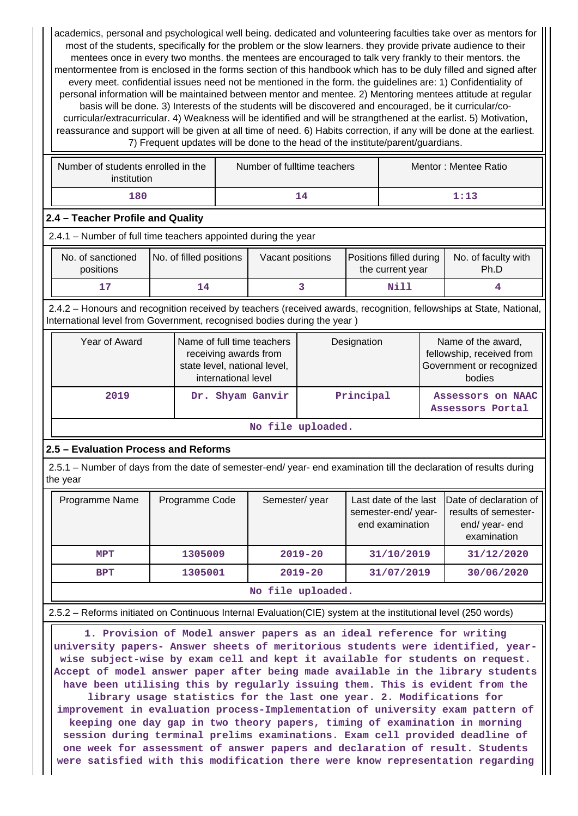academics, personal and psychological well being. dedicated and volunteering faculties take over as mentors for most of the students, specifically for the problem or the slow learners. they provide private audience to their mentees once in every two months. the mentees are encouraged to talk very frankly to their mentors. the mentormentee from is enclosed in the forms section of this handbook which has to be duly filled and signed after every meet. confidential issues need not be mentioned in the form. the guidelines are: 1) Confidentiality of personal information will be maintained between mentor and mentee. 2) Mentoring mentees attitude at regular basis will be done. 3) Interests of the students will be discovered and encouraged, be it curricular/cocurricular/extracurricular. 4) Weakness will be identified and will be strangthened at the earlist. 5) Motivation, reassurance and support will be given at all time of need. 6) Habits correction, if any will be done at the earliest. 7) Frequent updates will be done to the head of the institute/parent/guardians.

| Number of students enrolled in the<br>institution | Number of fulltime teachers | Mentor: Mentee Ratio |
|---------------------------------------------------|-----------------------------|----------------------|
| 180                                               |                             | 1:13                 |

## **2.4 – Teacher Profile and Quality**

2.4.1 – Number of full time teachers appointed during the year

| No. of sanctioned<br>positions | No. of filled positions | Vacant positions | <b>Positions filled during</b><br>the current year | No. of faculty with<br>Ph.D |
|--------------------------------|-------------------------|------------------|----------------------------------------------------|-----------------------------|
|                                |                         |                  | Nill                                               |                             |

 2.4.2 – Honours and recognition received by teachers (received awards, recognition, fellowships at State, National, International level from Government, recognised bodies during the year )

| Year of Award     | Name of full time teachers<br>receiving awards from<br>state level, national level,<br>international level | Designation | Name of the award,<br>fellowship, received from<br>Government or recognized<br>bodies |  |  |  |  |  |
|-------------------|------------------------------------------------------------------------------------------------------------|-------------|---------------------------------------------------------------------------------------|--|--|--|--|--|
| 2019              | Dr. Shyam Ganvir                                                                                           | Principal   | Assessors on NAAC<br>Assessors Portal                                                 |  |  |  |  |  |
| No file uploaded. |                                                                                                            |             |                                                                                       |  |  |  |  |  |

# **2.5 – Evaluation Process and Reforms**

 2.5.1 – Number of days from the date of semester-end/ year- end examination till the declaration of results during the year

| Programme Name    | Programme Code | Semester/year | Last date of the last<br>semester-end/year-<br>end examination | Date of declaration of<br>results of semester-<br>end/year-end<br>examination |  |  |  |  |
|-------------------|----------------|---------------|----------------------------------------------------------------|-------------------------------------------------------------------------------|--|--|--|--|
| MPT               | 1305009        | $2019 - 20$   | 31/10/2019                                                     | 31/12/2020                                                                    |  |  |  |  |
| <b>BPT</b>        | 1305001        | $2019 - 20$   | 31/07/2019                                                     | 30/06/2020                                                                    |  |  |  |  |
| No file uploaded. |                |               |                                                                |                                                                               |  |  |  |  |

# 2.5.2 – Reforms initiated on Continuous Internal Evaluation(CIE) system at the institutional level (250 words)

 **1. Provision of Model answer papers as an ideal reference for writing university papers- Answer sheets of meritorious students were identified, yearwise subject-wise by exam cell and kept it available for students on request. Accept of model answer paper after being made available in the library students have been utilising this by regularly issuing them. This is evident from the library usage statistics for the last one year. 2. Modifications for improvement in evaluation process-Implementation of university exam pattern of keeping one day gap in two theory papers, timing of examination in morning session during terminal prelims examinations. Exam cell provided deadline of one week for assessment of answer papers and declaration of result. Students were satisfied with this modification there were know representation regarding**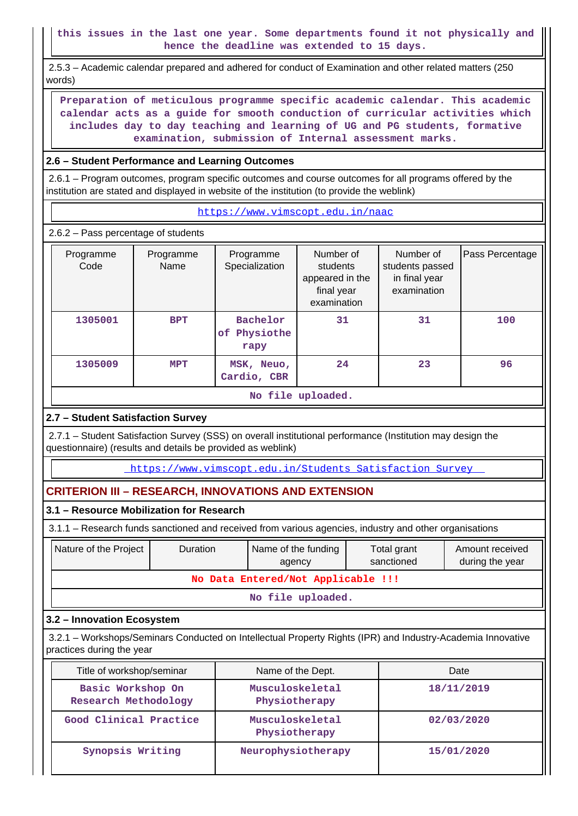**this issues in the last one year. Some departments found it not physically and hence the deadline was extended to 15 days.**

 2.5.3 – Academic calendar prepared and adhered for conduct of Examination and other related matters (250 words)

 **Preparation of meticulous programme specific academic calendar. This academic calendar acts as a guide for smooth conduction of curricular activities which includes day to day teaching and learning of UG and PG students, formative examination, submission of Internal assessment marks.**

### **2.6 – Student Performance and Learning Outcomes**

 2.6.1 – Program outcomes, program specific outcomes and course outcomes for all programs offered by the institution are stated and displayed in website of the institution (to provide the weblink)

<https://www.vimscopt.edu.in/naac>

2.6.2 – Pass percentage of students

| Programme<br>Code | Programme<br>Name                | Programme<br>Specialization         | Number of<br>students<br>appeared in the<br>final year<br>examination | Number of<br>students passed<br>in final year<br>examination | Pass Percentage |  |  |
|-------------------|----------------------------------|-------------------------------------|-----------------------------------------------------------------------|--------------------------------------------------------------|-----------------|--|--|
| 1305001           | <b>BPT</b>                       | Bachelor<br>Physiothe<br>оf<br>rapy | 31                                                                    | 31                                                           | 100             |  |  |
| 1305009           | MSK, Neuo,<br>MPT<br>Cardio, CBR |                                     | 24                                                                    | 23                                                           | 96              |  |  |
| No file uploaded. |                                  |                                     |                                                                       |                                                              |                 |  |  |

### **2.7 – Student Satisfaction Survey**

 2.7.1 – Student Satisfaction Survey (SSS) on overall institutional performance (Institution may design the questionnaire) (results and details be provided as weblink)

https://www.vimscopt.edu.in/Students\_Satisfaction\_Survey

# **CRITERION III – RESEARCH, INNOVATIONS AND EXTENSION**

### **3.1 – Resource Mobilization for Research**

3.1.1 – Research funds sanctioned and received from various agencies, industry and other organisations

| Nature of the Project              | <b>Duration</b> | Name of the funding<br>agency | Total grant<br>sanctioned | Amount received<br>during the year |  |  |  |  |
|------------------------------------|-----------------|-------------------------------|---------------------------|------------------------------------|--|--|--|--|
| No Data Entered/Not Applicable !!! |                 |                               |                           |                                    |  |  |  |  |
| No file uploaded.                  |                 |                               |                           |                                    |  |  |  |  |

### **3.2 – Innovation Ecosystem**

 3.2.1 – Workshops/Seminars Conducted on Intellectual Property Rights (IPR) and Industry-Academia Innovative practices during the year

| Title of workshop/seminar                 | Name of the Dept.                | Date       |
|-------------------------------------------|----------------------------------|------------|
| Basic Workshop On<br>Research Methodology | Musculoskeletal<br>Physiotherapy | 18/11/2019 |
| Good Clinical Practice                    | Musculoskeletal<br>Physiotherapy | 02/03/2020 |
| Synopsis Writing                          | Neurophysiotherapy               | 15/01/2020 |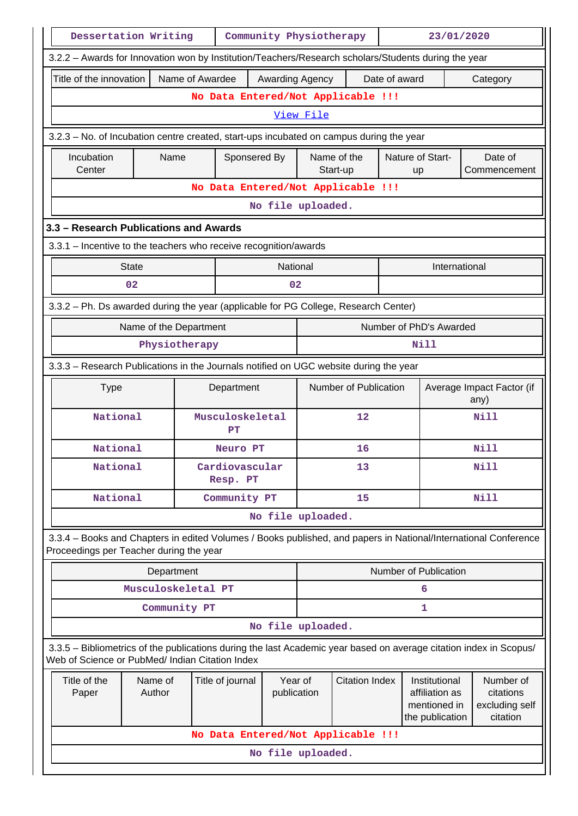|                                                                                                                                                                                         | Dessertation Writing<br>Community Physiotherapy<br>23/01/2020 |               |                                    |                   |                                                      |                         |                           |                         |                                                                                                                    |  |  |  |  |  |  |  |
|-----------------------------------------------------------------------------------------------------------------------------------------------------------------------------------------|---------------------------------------------------------------|---------------|------------------------------------|-------------------|------------------------------------------------------|-------------------------|---------------------------|-------------------------|--------------------------------------------------------------------------------------------------------------------|--|--|--|--|--|--|--|
| 3.2.2 - Awards for Innovation won by Institution/Teachers/Research scholars/Students during the year                                                                                    |                                                               |               |                                    |                   |                                                      |                         |                           |                         |                                                                                                                    |  |  |  |  |  |  |  |
| Title of the innovation<br>Name of Awardee<br>Date of award<br>Awarding Agency<br>Category                                                                                              |                                                               |               |                                    |                   |                                                      |                         |                           |                         |                                                                                                                    |  |  |  |  |  |  |  |
| No Data Entered/Not Applicable !!!                                                                                                                                                      |                                                               |               |                                    |                   |                                                      |                         |                           |                         |                                                                                                                    |  |  |  |  |  |  |  |
|                                                                                                                                                                                         |                                                               |               |                                    |                   | View File                                            |                         |                           |                         |                                                                                                                    |  |  |  |  |  |  |  |
| 3.2.3 - No. of Incubation centre created, start-ups incubated on campus during the year                                                                                                 |                                                               |               |                                    |                   |                                                      |                         |                           |                         |                                                                                                                    |  |  |  |  |  |  |  |
| Incubation<br>Center                                                                                                                                                                    | Name                                                          |               | Sponsered By                       |                   |                                                      | Name of the<br>Start-up |                           | Nature of Start-<br>up  | Date of<br>Commencement                                                                                            |  |  |  |  |  |  |  |
|                                                                                                                                                                                         |                                                               |               | No Data Entered/Not Applicable !!! |                   |                                                      |                         |                           |                         |                                                                                                                    |  |  |  |  |  |  |  |
|                                                                                                                                                                                         |                                                               |               |                                    | No file uploaded. |                                                      |                         |                           |                         |                                                                                                                    |  |  |  |  |  |  |  |
| 3.3 - Research Publications and Awards                                                                                                                                                  |                                                               |               |                                    |                   |                                                      |                         |                           |                         |                                                                                                                    |  |  |  |  |  |  |  |
| 3.3.1 - Incentive to the teachers who receive recognition/awards                                                                                                                        |                                                               |               |                                    |                   |                                                      |                         |                           |                         |                                                                                                                    |  |  |  |  |  |  |  |
|                                                                                                                                                                                         | <b>State</b>                                                  |               |                                    | National          |                                                      |                         |                           | International           |                                                                                                                    |  |  |  |  |  |  |  |
|                                                                                                                                                                                         | 02                                                            |               |                                    | 02                |                                                      |                         |                           |                         |                                                                                                                    |  |  |  |  |  |  |  |
| 3.3.2 - Ph. Ds awarded during the year (applicable for PG College, Research Center)                                                                                                     |                                                               |               |                                    |                   |                                                      |                         |                           |                         |                                                                                                                    |  |  |  |  |  |  |  |
|                                                                                                                                                                                         | Name of the Department                                        |               |                                    |                   |                                                      |                         |                           | Number of PhD's Awarded |                                                                                                                    |  |  |  |  |  |  |  |
|                                                                                                                                                                                         |                                                               | Physiotherapy |                                    |                   |                                                      |                         |                           | Nill                    |                                                                                                                    |  |  |  |  |  |  |  |
| 3.3.3 - Research Publications in the Journals notified on UGC website during the year                                                                                                   |                                                               |               |                                    |                   |                                                      |                         |                           |                         |                                                                                                                    |  |  |  |  |  |  |  |
| <b>Type</b>                                                                                                                                                                             |                                                               |               | Department                         |                   | Number of Publication<br>any)                        |                         | Average Impact Factor (if |                         |                                                                                                                    |  |  |  |  |  |  |  |
| National                                                                                                                                                                                |                                                               |               | Musculoskeletal<br>PT              |                   | $12 \overline{ }$                                    |                         |                           | <b>Nill</b>             |                                                                                                                    |  |  |  |  |  |  |  |
| National                                                                                                                                                                                |                                                               | Neuro PT      |                                    |                   |                                                      | 16                      |                           |                         | <b>Nill</b>                                                                                                        |  |  |  |  |  |  |  |
|                                                                                                                                                                                         | National                                                      |               | Cardiovascular<br>Resp. PT         |                   |                                                      | 13                      |                           |                         | <b>Nill</b>                                                                                                        |  |  |  |  |  |  |  |
| National                                                                                                                                                                                |                                                               |               | Community PT                       |                   |                                                      | 15                      |                           |                         | <b>Nill</b>                                                                                                        |  |  |  |  |  |  |  |
|                                                                                                                                                                                         |                                                               |               |                                    | No file uploaded. |                                                      |                         |                           |                         |                                                                                                                    |  |  |  |  |  |  |  |
| Proceedings per Teacher during the year                                                                                                                                                 |                                                               |               |                                    |                   |                                                      |                         |                           |                         | 3.3.4 - Books and Chapters in edited Volumes / Books published, and papers in National/International Conference    |  |  |  |  |  |  |  |
|                                                                                                                                                                                         | Department                                                    |               |                                    |                   |                                                      |                         |                           | Number of Publication   |                                                                                                                    |  |  |  |  |  |  |  |
|                                                                                                                                                                                         | Musculoskeletal PT                                            |               |                                    |                   |                                                      |                         |                           | 6                       |                                                                                                                    |  |  |  |  |  |  |  |
|                                                                                                                                                                                         |                                                               | Community PT  |                                    |                   |                                                      |                         |                           | 1                       |                                                                                                                    |  |  |  |  |  |  |  |
|                                                                                                                                                                                         |                                                               |               |                                    | No file uploaded. |                                                      |                         |                           |                         |                                                                                                                    |  |  |  |  |  |  |  |
| Web of Science or PubMed/ Indian Citation Index                                                                                                                                         |                                                               |               |                                    |                   |                                                      |                         |                           |                         | 3.3.5 - Bibliometrics of the publications during the last Academic year based on average citation index in Scopus/ |  |  |  |  |  |  |  |
| Title of the<br>Name of<br>Year of<br><b>Citation Index</b><br>Title of journal<br>Institutional<br>affiliation as<br>Paper<br>Author<br>publication<br>mentioned in<br>the publication |                                                               |               |                                    |                   | Number of<br>citations<br>excluding self<br>citation |                         |                           |                         |                                                                                                                    |  |  |  |  |  |  |  |
|                                                                                                                                                                                         |                                                               |               | No Data Entered/Not Applicable !!! |                   |                                                      |                         |                           |                         |                                                                                                                    |  |  |  |  |  |  |  |
|                                                                                                                                                                                         |                                                               |               |                                    | No file uploaded. |                                                      |                         |                           |                         |                                                                                                                    |  |  |  |  |  |  |  |
|                                                                                                                                                                                         |                                                               |               |                                    |                   |                                                      |                         |                           |                         |                                                                                                                    |  |  |  |  |  |  |  |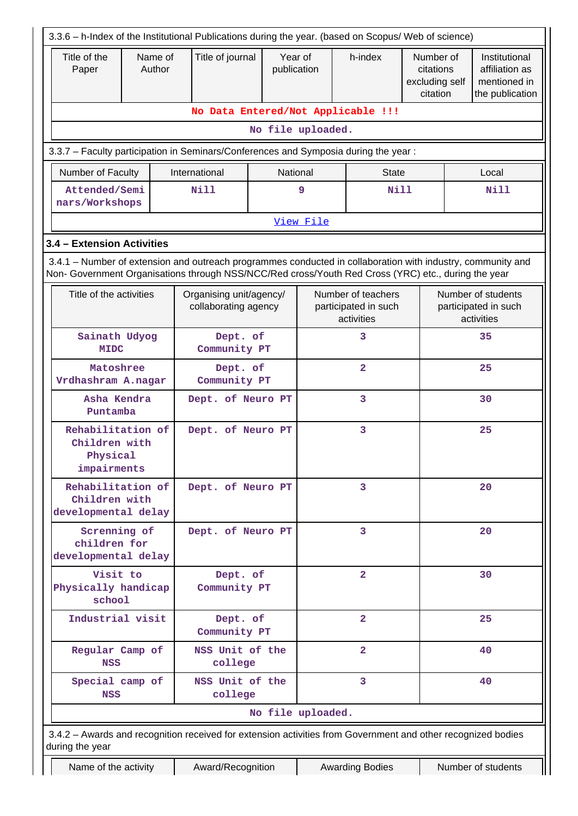| Title of the<br>Paper                                                                                                                                                                                              | Name of<br>Author                                                                  | Title of journal                                | Year of<br>publication |                | h-index                                                  | Number of<br>citations<br>excluding self |    | Institutional<br>affiliation as<br>mentioned in          |  |  |
|--------------------------------------------------------------------------------------------------------------------------------------------------------------------------------------------------------------------|------------------------------------------------------------------------------------|-------------------------------------------------|------------------------|----------------|----------------------------------------------------------|------------------------------------------|----|----------------------------------------------------------|--|--|
|                                                                                                                                                                                                                    |                                                                                    |                                                 |                        |                |                                                          | citation                                 |    | the publication                                          |  |  |
| No Data Entered/Not Applicable !!!                                                                                                                                                                                 |                                                                                    |                                                 |                        |                |                                                          |                                          |    |                                                          |  |  |
| No file uploaded.                                                                                                                                                                                                  |                                                                                    |                                                 |                        |                |                                                          |                                          |    |                                                          |  |  |
| 3.3.7 - Faculty participation in Seminars/Conferences and Symposia during the year:                                                                                                                                |                                                                                    |                                                 |                        |                |                                                          |                                          |    |                                                          |  |  |
| Number of Faculty                                                                                                                                                                                                  |                                                                                    | International                                   | National               |                | <b>State</b>                                             |                                          |    | Local                                                    |  |  |
| Attended/Semi<br>nars/Workshops                                                                                                                                                                                    |                                                                                    | <b>Nill</b>                                     |                        | 9              | Nill                                                     |                                          |    | <b>Nill</b>                                              |  |  |
|                                                                                                                                                                                                                    |                                                                                    |                                                 |                        | View File      |                                                          |                                          |    |                                                          |  |  |
| 3.4 - Extension Activities                                                                                                                                                                                         |                                                                                    |                                                 |                        |                |                                                          |                                          |    |                                                          |  |  |
| 3.4.1 – Number of extension and outreach programmes conducted in collaboration with industry, community and<br>Non- Government Organisations through NSS/NCC/Red cross/Youth Red Cross (YRC) etc., during the year |                                                                                    |                                                 |                        |                |                                                          |                                          |    |                                                          |  |  |
| Title of the activities                                                                                                                                                                                            |                                                                                    | Organising unit/agency/<br>collaborating agency |                        |                | Number of teachers<br>participated in such<br>activities |                                          |    | Number of students<br>participated in such<br>activities |  |  |
| Sainath Udyog<br><b>MIDC</b>                                                                                                                                                                                       |                                                                                    | Dept. of<br>Community PT                        |                        |                | 3                                                        |                                          | 35 |                                                          |  |  |
| Matoshree<br>Vrdhashram A.nagar                                                                                                                                                                                    |                                                                                    | Dept. of<br>Community PT                        |                        |                | $\overline{a}$                                           |                                          | 25 |                                                          |  |  |
| Asha Kendra<br>Puntamba                                                                                                                                                                                            |                                                                                    | Dept. of Neuro PT                               |                        |                | 3                                                        |                                          | 30 |                                                          |  |  |
|                                                                                                                                                                                                                    | Rehabilitation of<br>Dept. of Neuro PT<br>Children with<br>Physical<br>impairments |                                                 |                        |                | 3                                                        |                                          |    | 25                                                       |  |  |
| Rehabilitation of<br>Children with<br>developmental delay                                                                                                                                                          |                                                                                    | Dept. of Neuro PT                               |                        |                | $\overline{3}$                                           |                                          |    | 20                                                       |  |  |
| Screnning of<br>children for<br>developmental delay                                                                                                                                                                |                                                                                    | Dept. of Neuro PT                               |                        |                | $\overline{3}$                                           |                                          |    | 20                                                       |  |  |
| Visit to<br>Physically handicap<br>school                                                                                                                                                                          |                                                                                    | Dept. of<br>Community PT                        |                        | $\overline{2}$ |                                                          |                                          | 30 |                                                          |  |  |
| Industrial visit                                                                                                                                                                                                   |                                                                                    | Dept. of<br>Community PT                        |                        |                | $\overline{\mathbf{2}}$                                  |                                          | 25 |                                                          |  |  |
| Regular Camp of<br>NSS                                                                                                                                                                                             |                                                                                    | NSS Unit of the<br>college                      |                        |                | $\overline{2}$                                           |                                          | 40 |                                                          |  |  |
| Special camp of<br><b>NSS</b>                                                                                                                                                                                      |                                                                                    | NSS Unit of the<br>college                      |                        |                | 3                                                        |                                          |    | 40                                                       |  |  |
|                                                                                                                                                                                                                    |                                                                                    |                                                 | No file uploaded.      |                |                                                          |                                          |    |                                                          |  |  |
| 3.4.2 - Awards and recognition received for extension activities from Government and other recognized bodies<br>during the year                                                                                    |                                                                                    |                                                 |                        |                |                                                          |                                          |    |                                                          |  |  |
| Name of the activity                                                                                                                                                                                               |                                                                                    | Award/Recognition                               |                        |                | <b>Awarding Bodies</b>                                   |                                          |    | Number of students                                       |  |  |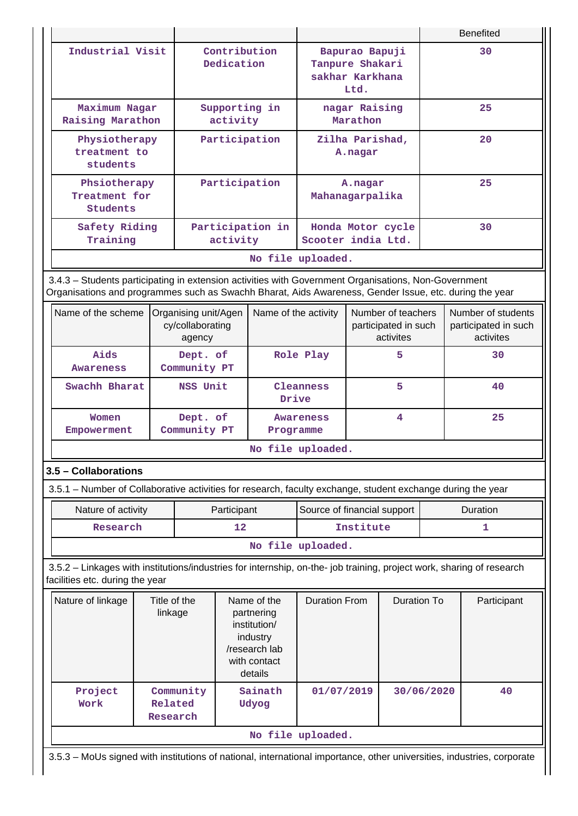|                                                                                                                                                                                                                |                         |                            |                                          |                                                                                                   |                                            |                                                         |                   |            |             | <b>Benefited</b>                                        |
|----------------------------------------------------------------------------------------------------------------------------------------------------------------------------------------------------------------|-------------------------|----------------------------|------------------------------------------|---------------------------------------------------------------------------------------------------|--------------------------------------------|---------------------------------------------------------|-------------------|------------|-------------|---------------------------------------------------------|
| Industrial Visit                                                                                                                                                                                               |                         | Contribution<br>Dedication |                                          | Bapurao Bapuji<br>Tanpure Shakari<br>sakhar Karkhana<br>Ltd.                                      |                                            |                                                         |                   | 30         |             |                                                         |
| Maximum Nagar<br>Raising Marathon                                                                                                                                                                              |                         |                            | activity                                 | Supporting in                                                                                     |                                            | nagar Raising<br>Marathon                               |                   | 25         |             |                                                         |
| Physiotherapy<br>treatment to<br>students                                                                                                                                                                      |                         |                            |                                          | Participation                                                                                     |                                            | Zilha Parishad,<br>A.nagar                              |                   |            |             | 20                                                      |
| Phsiotherapy<br>Treatment for<br>Students                                                                                                                                                                      |                         |                            |                                          | Participation                                                                                     | Mahanagarpalika                            | A.nagar                                                 |                   |            |             | 25                                                      |
| Safety Riding<br>Training                                                                                                                                                                                      |                         |                            | activity                                 | Participation in                                                                                  | Scooter india Ltd.                         |                                                         | Honda Motor cycle |            |             | 30                                                      |
|                                                                                                                                                                                                                |                         |                            |                                          | No file uploaded.                                                                                 |                                            |                                                         |                   |            |             |                                                         |
| 3.4.3 - Students participating in extension activities with Government Organisations, Non-Government<br>Organisations and programmes such as Swachh Bharat, Aids Awareness, Gender Issue, etc. during the year |                         |                            |                                          |                                                                                                   |                                            |                                                         |                   |            |             |                                                         |
| Name of the scheme                                                                                                                                                                                             |                         | agency                     | Organising unit/Agen<br>cy/collaborating |                                                                                                   | Name of the activity                       | Number of teachers<br>participated in such<br>activites |                   |            |             | Number of students<br>participated in such<br>activites |
| Aids<br><b>Awareness</b>                                                                                                                                                                                       |                         | Dept. of<br>Community PT   |                                          |                                                                                                   | 5<br>Role Play                             |                                                         |                   |            |             | 30                                                      |
| Swachh Bharat                                                                                                                                                                                                  |                         | NSS Unit                   |                                          | Drive                                                                                             | Cleanness<br>5                             |                                                         |                   |            | 40          |                                                         |
| Women<br>Empowerment                                                                                                                                                                                           |                         |                            | Dept. of<br>Community PT                 |                                                                                                   | 4<br><b>Awareness</b><br>Programme         |                                                         |                   |            | 25          |                                                         |
|                                                                                                                                                                                                                |                         |                            |                                          |                                                                                                   | No file uploaded.                          |                                                         |                   |            |             |                                                         |
| 3.5 - Collaborations                                                                                                                                                                                           |                         |                            |                                          |                                                                                                   |                                            |                                                         |                   |            |             |                                                         |
| 3.5.1 – Number of Collaborative activities for research, faculty exchange, student exchange during the year                                                                                                    |                         |                            |                                          |                                                                                                   |                                            |                                                         |                   |            |             |                                                         |
| Nature of activity                                                                                                                                                                                             |                         |                            | Participant                              |                                                                                                   | Source of financial support                |                                                         |                   |            |             | Duration                                                |
| Research                                                                                                                                                                                                       |                         |                            | 12                                       |                                                                                                   |                                            | Institute                                               |                   |            |             | 1                                                       |
|                                                                                                                                                                                                                |                         |                            |                                          |                                                                                                   | No file uploaded.                          |                                                         |                   |            |             |                                                         |
| 3.5.2 - Linkages with institutions/industries for internship, on-the- job training, project work, sharing of research<br>facilities etc. during the year                                                       |                         |                            |                                          |                                                                                                   |                                            |                                                         |                   |            |             |                                                         |
| Nature of linkage                                                                                                                                                                                              | Title of the<br>linkage |                            |                                          | Name of the<br>partnering<br>institution/<br>industry<br>/research lab<br>with contact<br>details | <b>Duration From</b><br><b>Duration To</b> |                                                         |                   |            | Participant |                                                         |
| Project<br>Work                                                                                                                                                                                                | Related<br>Research     | Community                  |                                          | Sainath<br>Udyog                                                                                  | 01/07/2019                                 |                                                         |                   | 30/06/2020 |             | 40                                                      |
|                                                                                                                                                                                                                |                         |                            |                                          |                                                                                                   | No file uploaded.                          |                                                         |                   |            |             |                                                         |
| 3.5.3 - MoUs signed with institutions of national, international importance, other universities, industries, corporate                                                                                         |                         |                            |                                          |                                                                                                   |                                            |                                                         |                   |            |             |                                                         |

Ш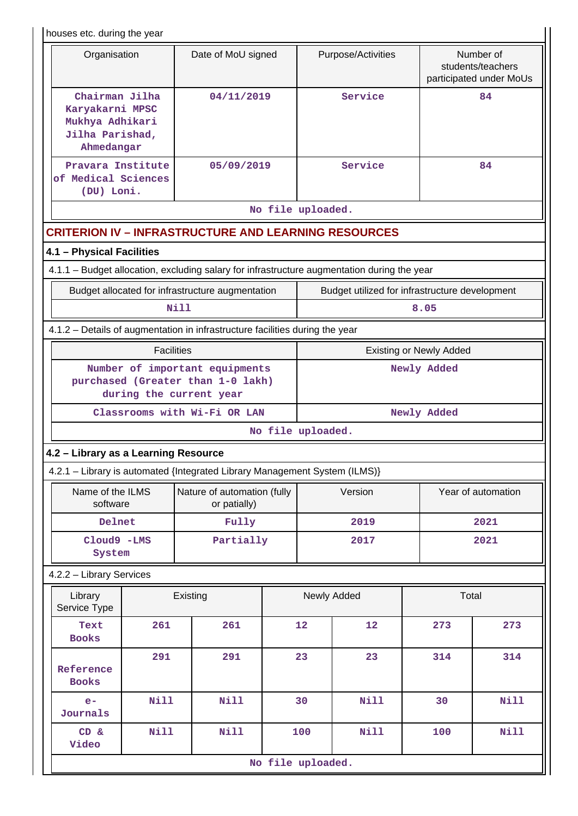houses etc. during the year

| nouses etc. auring the year                                                                 |                                             |                                |                                                           |  |  |  |  |  |  |
|---------------------------------------------------------------------------------------------|---------------------------------------------|--------------------------------|-----------------------------------------------------------|--|--|--|--|--|--|
| Organisation                                                                                | Date of MoU signed                          | Purpose/Activities             | Number of<br>students/teachers<br>participated under MoUs |  |  |  |  |  |  |
| Chairman Jilha<br>Karyakarni MPSC<br>Mukhya Adhikari<br>Jilha Parishad,<br>Ahmedangar       | 04/11/2019                                  | Service                        | 84                                                        |  |  |  |  |  |  |
| Pravara Institute<br>of Medical Sciences<br>(DU) Loni.                                      | 05/09/2019                                  | Service                        | 84                                                        |  |  |  |  |  |  |
|                                                                                             |                                             | No file uploaded.              |                                                           |  |  |  |  |  |  |
| <b>CRITERION IV - INFRASTRUCTURE AND LEARNING RESOURCES</b>                                 |                                             |                                |                                                           |  |  |  |  |  |  |
| 4.1 - Physical Facilities                                                                   |                                             |                                |                                                           |  |  |  |  |  |  |
| 4.1.1 - Budget allocation, excluding salary for infrastructure augmentation during the year |                                             |                                |                                                           |  |  |  |  |  |  |
| Budget allocated for infrastructure augmentation                                            |                                             |                                | Budget utilized for infrastructure development            |  |  |  |  |  |  |
|                                                                                             | Nill                                        |                                | 8.05                                                      |  |  |  |  |  |  |
| 4.1.2 - Details of augmentation in infrastructure facilities during the year                |                                             |                                |                                                           |  |  |  |  |  |  |
| <b>Facilities</b>                                                                           |                                             | <b>Existing or Newly Added</b> |                                                           |  |  |  |  |  |  |
| purchased (Greater than 1-0 lakh)<br>during the current year                                | Number of important equipments              | Newly Added                    |                                                           |  |  |  |  |  |  |
|                                                                                             | Classrooms with Wi-Fi OR LAN<br>Newly Added |                                |                                                           |  |  |  |  |  |  |
|                                                                                             |                                             | No file uploaded.              |                                                           |  |  |  |  |  |  |
| 4.2 - Library as a Learning Resource                                                        |                                             |                                |                                                           |  |  |  |  |  |  |
|                                                                                             |                                             |                                |                                                           |  |  |  |  |  |  |

|  | 4.2.1 - Library is automated {Integrated Library Management System (ILMS)} |  |
|--|----------------------------------------------------------------------------|--|
|--|----------------------------------------------------------------------------|--|

| Name of the ILMS<br>software | Nature of automation (fully<br>or patially) | Version | Year of automation |
|------------------------------|---------------------------------------------|---------|--------------------|
| Delnet                       | Fully                                       | 2019    | 2021               |
| Cloud9 -LMS<br>System        | Partially                                   | 2017    | 2021               |

4.2.2 – Library Services

| Library<br>Service Type   | Existing    |             | Newly Added |                   |     | Total |  |
|---------------------------|-------------|-------------|-------------|-------------------|-----|-------|--|
| Text<br><b>Books</b>      | 261         | 261         | 12          | $12 \overline{ }$ | 273 | 273   |  |
| Reference<br><b>Books</b> | 291         | 291         | 23          | 23                | 314 | 314   |  |
| $e-$<br>Journals          | Nill        | <b>Nill</b> | 30          | <b>Nill</b>       | 30  | Nill  |  |
| CD &<br>Video             | <b>Nill</b> | <b>Nill</b> | 100         | Nill              | 100 | Nill  |  |
| No file uploaded.         |             |             |             |                   |     |       |  |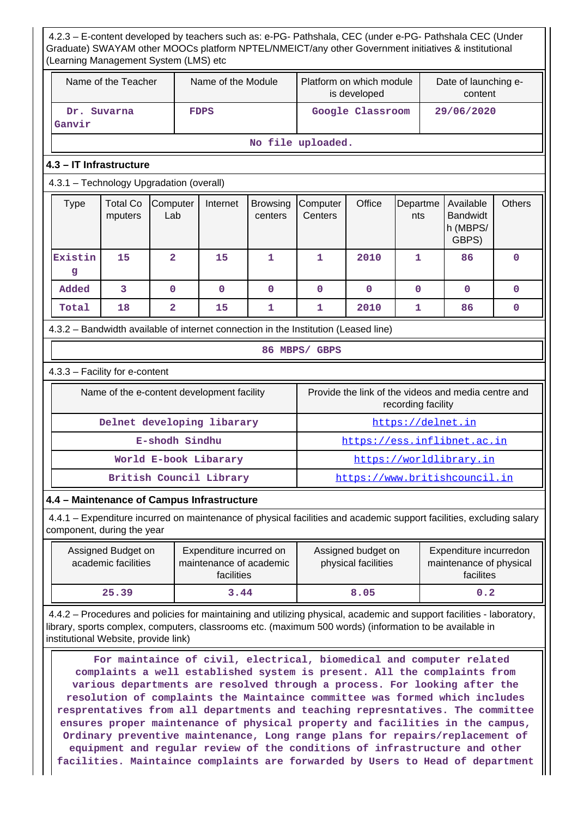| 4.2.3 - E-content developed by teachers such as: e-PG- Pathshala, CEC (under e-PG- Pathshala CEC (Under<br>Graduate) SWAYAM other MOOCs platform NPTEL/NMEICT/any other Government initiatives & institutional<br>(Learning Management System (LMS) etc |                                            |                |                         |              |                                          |                  |                                 |                                                     |             |
|---------------------------------------------------------------------------------------------------------------------------------------------------------------------------------------------------------------------------------------------------------|--------------------------------------------|----------------|-------------------------|--------------|------------------------------------------|------------------|---------------------------------|-----------------------------------------------------|-------------|
|                                                                                                                                                                                                                                                         | Name of the Teacher<br>Name of the Module  |                |                         |              | Platform on which module<br>is developed |                  | Date of launching e-<br>content |                                                     |             |
| Ganvir                                                                                                                                                                                                                                                  | Dr. Suvarna                                |                | <b>FDPS</b>             |              |                                          | Google Classroom |                                 | 29/06/2020                                          |             |
| No file uploaded.                                                                                                                                                                                                                                       |                                            |                |                         |              |                                          |                  |                                 |                                                     |             |
| 4.3 – IT Infrastructure                                                                                                                                                                                                                                 |                                            |                |                         |              |                                          |                  |                                 |                                                     |             |
| 4.3.1 - Technology Upgradation (overall)                                                                                                                                                                                                                |                                            |                |                         |              |                                          |                  |                                 |                                                     |             |
| <b>Total Co</b><br><b>Type</b><br>Computer<br>Internet<br>Computer<br>Office<br>Available<br><b>Browsing</b><br>Departme<br><b>Bandwidt</b><br>mputers<br>Lab<br>centers<br>Centers<br>nts<br>h (MBPS/<br>GBPS)                                         |                                            |                |                         |              | <b>Others</b>                            |                  |                                 |                                                     |             |
| Existin<br>g                                                                                                                                                                                                                                            | 15                                         | $\overline{2}$ | 15                      | 1            | 1                                        | 2010             | $\mathbf{1}$                    | 86                                                  | $\mathbf 0$ |
| Added                                                                                                                                                                                                                                                   | 3                                          | $\mathbf{O}$   | $\mathbf{O}$            | $\mathbf{O}$ | $\mathbf{O}$                             | $\mathbf{O}$     | $\Omega$                        | $\mathbf{0}$                                        | $\mathbf 0$ |
| Total                                                                                                                                                                                                                                                   | 18                                         | $\overline{a}$ | 15                      | 1            | 1                                        | 2010             | 1                               | 86                                                  | $\mathbf 0$ |
| 4.3.2 - Bandwidth available of internet connection in the Institution (Leased line)                                                                                                                                                                     |                                            |                |                         |              |                                          |                  |                                 |                                                     |             |
|                                                                                                                                                                                                                                                         |                                            |                |                         |              | 86 MBPS/ GBPS                            |                  |                                 |                                                     |             |
| 4.3.3 - Facility for e-content                                                                                                                                                                                                                          |                                            |                |                         |              |                                          |                  |                                 |                                                     |             |
|                                                                                                                                                                                                                                                         | Name of the e-content development facility |                |                         |              |                                          |                  | recording facility              | Provide the link of the videos and media centre and |             |
|                                                                                                                                                                                                                                                         | Delnet developing libarary                 |                |                         |              | https://delnet.in                        |                  |                                 |                                                     |             |
|                                                                                                                                                                                                                                                         | E-shodh Sindhu                             |                |                         |              |                                          |                  |                                 | https://ess.inflibnet.ac.in                         |             |
| World E-book Libarary                                                                                                                                                                                                                                   |                                            |                |                         |              | https://worldlibrary.in                  |                  |                                 |                                                     |             |
|                                                                                                                                                                                                                                                         |                                            |                | British Council Library |              |                                          |                  |                                 | https://www.britishcouncil.in                       |             |
| 4.4 - Maintenance of Campus Infrastructure                                                                                                                                                                                                              |                                            |                |                         |              |                                          |                  |                                 |                                                     |             |
| 4.4.1 – Expenditure incurred on maintenance of physical facilities and academic support facilities, excluding salary<br>component, during the year                                                                                                      |                                            |                |                         |              |                                          |                  |                                 |                                                     |             |

| Assigned Budget on<br>academic facilities | Expenditure incurred on<br>maintenance of academic<br>facilities |      | Expenditure incurredon<br>maintenance of physical<br>facilites |
|-------------------------------------------|------------------------------------------------------------------|------|----------------------------------------------------------------|
| 25.39                                     | 3.44                                                             | 8.05 | 0.2                                                            |

 4.4.2 – Procedures and policies for maintaining and utilizing physical, academic and support facilities - laboratory, library, sports complex, computers, classrooms etc. (maximum 500 words) (information to be available in institutional Website, provide link)

 **For maintaince of civil, electrical, biomedical and computer related complaints a well established system is present. All the complaints from various departments are resolved through a process. For looking after the resolution of complaints the Maintaince committee was formed which includes resprentatives from all departments and teaching represntatives. The committee ensures proper maintenance of physical property and facilities in the campus, Ordinary preventive maintenance, Long range plans for repairs/replacement of equipment and regular review of the conditions of infrastructure and other facilities. Maintaince complaints are forwarded by Users to Head of department**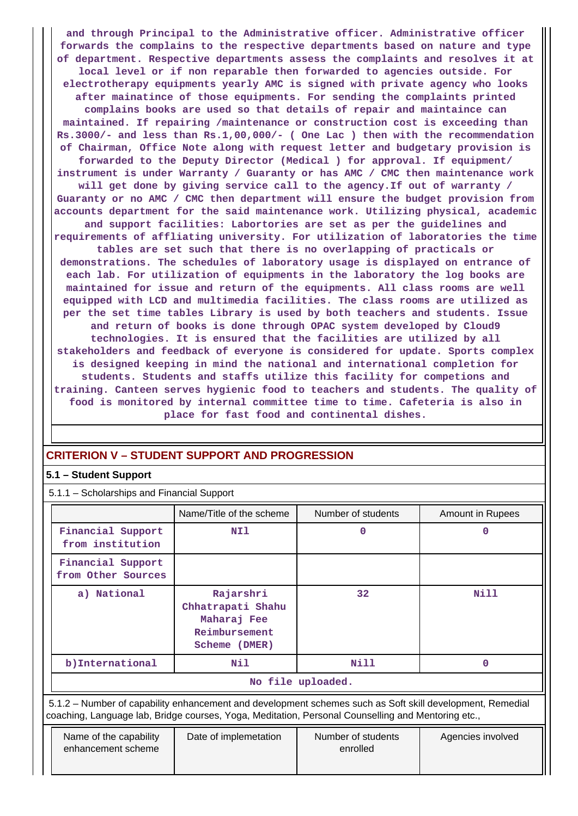**and through Principal to the Administrative officer. Administrative officer forwards the complains to the respective departments based on nature and type of department. Respective departments assess the complaints and resolves it at local level or if non reparable then forwarded to agencies outside. For electrotherapy equipments yearly AMC is signed with private agency who looks after mainatince of those equipments. For sending the complaints printed complains books are used so that details of repair and maintaince can maintained. If repairing /maintenance or construction cost is exceeding than Rs.3000/- and less than Rs.1,00,000/- ( One Lac ) then with the recommendation of Chairman, Office Note along with request letter and budgetary provision is forwarded to the Deputy Director (Medical ) for approval. If equipment/ instrument is under Warranty / Guaranty or has AMC / CMC then maintenance work will get done by giving service call to the agency.If out of warranty / Guaranty or no AMC / CMC then department will ensure the budget provision from accounts department for the said maintenance work. Utilizing physical, academic and support facilities: Labortories are set as per the guidelines and requirements of affliating university. For utilization of laboratories the time tables are set such that there is no overlapping of practicals or demonstrations. The schedules of laboratory usage is displayed on entrance of each lab. For utilization of equipments in the laboratory the log books are maintained for issue and return of the equipments. All class rooms are well equipped with LCD and multimedia facilities. The class rooms are utilized as per the set time tables Library is used by both teachers and students. Issue and return of books is done through OPAC system developed by Cloud9 technologies. It is ensured that the facilities are utilized by all stakeholders and feedback of everyone is considered for update. Sports complex is designed keeping in mind the national and international completion for students. Students and staffs utilize this facility for competions and training. Canteen serves hygienic food to teachers and students. The quality of food is monitored by internal committee time to time. Cafeteria is also in place for fast food and continental dishes.**

# **CRITERION V – STUDENT SUPPORT AND PROGRESSION**

# **5.1 – Student Support**

5.1.1 – Scholarships and Financial Support

|                                         | Name/Title of the scheme                                                        | Number of students | Amount in Rupees |  |  |  |  |
|-----------------------------------------|---------------------------------------------------------------------------------|--------------------|------------------|--|--|--|--|
| Financial Support<br>from institution   | NI1                                                                             | 0                  | 0                |  |  |  |  |
| Financial Support<br>from Other Sources |                                                                                 |                    |                  |  |  |  |  |
| a) National                             | Rajarshri<br>Chhatrapati Shahu<br>Maharaj Fee<br>Reimbursement<br>Scheme (DMER) | 32                 | <b>Nill</b>      |  |  |  |  |
| b) International                        | Nil                                                                             | Nill               | 0                |  |  |  |  |
|                                         | No file uploaded.                                                               |                    |                  |  |  |  |  |

 5.1.2 – Number of capability enhancement and development schemes such as Soft skill development, Remedial coaching, Language lab, Bridge courses, Yoga, Meditation, Personal Counselling and Mentoring etc.,

| Name of the capability<br>enhancement scheme | Date of implemetation | Number of students<br>enrolled | Agencies involved |
|----------------------------------------------|-----------------------|--------------------------------|-------------------|
|                                              |                       |                                |                   |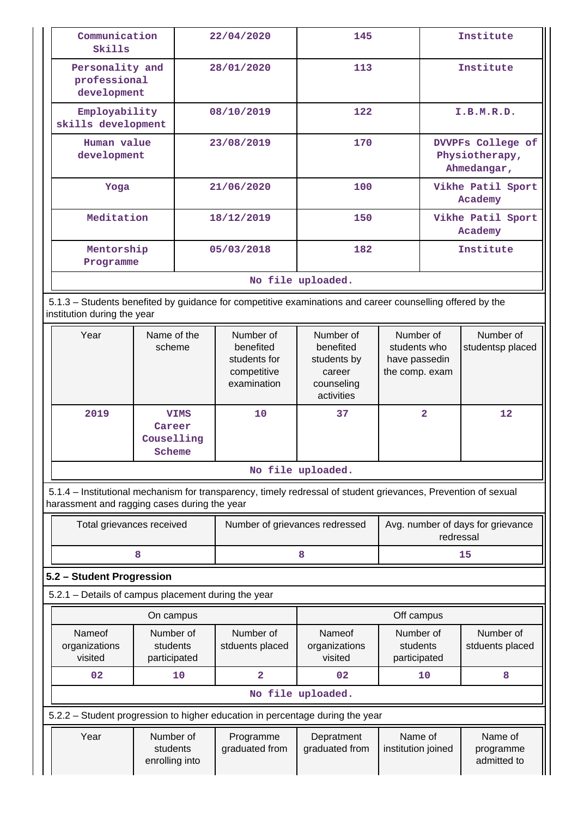| Communication<br>Skills                                                                                                                                        |                                               | 22/04/2020 | 145                                                                  |                                                                             | Institute                                                    |                                                    |                                     |
|----------------------------------------------------------------------------------------------------------------------------------------------------------------|-----------------------------------------------|------------|----------------------------------------------------------------------|-----------------------------------------------------------------------------|--------------------------------------------------------------|----------------------------------------------------|-------------------------------------|
| professional<br>development                                                                                                                                    | Personality and                               |            | 28/01/2020                                                           | 113                                                                         |                                                              | Institute                                          |                                     |
| Employability<br>skills development                                                                                                                            |                                               |            | 08/10/2019                                                           | 122                                                                         |                                                              | I.B.M.R.D.                                         |                                     |
| Human value<br>development                                                                                                                                     |                                               |            | 23/08/2019                                                           | 170                                                                         |                                                              | DVVPFs College of<br>Physiotherapy,<br>Ahmedangar, |                                     |
| Yoga                                                                                                                                                           |                                               |            | 21/06/2020                                                           | 100                                                                         |                                                              | Academy                                            | Vikhe Patil Sport                   |
| Meditation                                                                                                                                                     |                                               |            | 18/12/2019                                                           | 150                                                                         |                                                              | Academy                                            | Vikhe Patil Sport                   |
| Mentorship<br>Programme                                                                                                                                        |                                               |            | 05/03/2018                                                           | 182                                                                         |                                                              | Institute                                          |                                     |
|                                                                                                                                                                |                                               |            |                                                                      | No file uploaded.                                                           |                                                              |                                                    |                                     |
| 5.1.3 - Students benefited by guidance for competitive examinations and career counselling offered by the<br>institution during the year                       |                                               |            |                                                                      |                                                                             |                                                              |                                                    |                                     |
| Year                                                                                                                                                           | Name of the<br>scheme                         |            | Number of<br>benefited<br>students for<br>competitive<br>examination | Number of<br>benefited<br>students by<br>career<br>counseling<br>activities | Number of<br>students who<br>have passedin<br>the comp. exam |                                                    | Number of<br>studentsp placed       |
| 2019                                                                                                                                                           | <b>VIMS</b><br>Career<br>Couselling<br>Scheme |            | 10                                                                   | 37                                                                          | $\overline{2}$                                               |                                                    | 12                                  |
|                                                                                                                                                                |                                               |            |                                                                      | No file uploaded.                                                           |                                                              |                                                    |                                     |
| 5.1.4 – Institutional mechanism for transparency, timely redressal of student grievances, Prevention of sexual<br>harassment and ragging cases during the year |                                               |            |                                                                      |                                                                             |                                                              |                                                    |                                     |
| Total grievances received                                                                                                                                      |                                               |            | Number of grievances redressed                                       |                                                                             | Avg. number of days for grievance                            | redressal                                          |                                     |
|                                                                                                                                                                | 8                                             |            |                                                                      | 8                                                                           |                                                              | 15                                                 |                                     |
| 5.2 - Student Progression                                                                                                                                      |                                               |            |                                                                      |                                                                             |                                                              |                                                    |                                     |
| 5.2.1 - Details of campus placement during the year                                                                                                            |                                               |            |                                                                      |                                                                             |                                                              |                                                    |                                     |
|                                                                                                                                                                | On campus                                     |            |                                                                      |                                                                             | Off campus                                                   |                                                    |                                     |
| Nameof<br>organizations<br>visited                                                                                                                             | Number of<br>students<br>participated         |            | Number of<br>stduents placed                                         | Nameof<br>organizations<br>visited                                          | Number of<br>students<br>participated                        |                                                    | Number of<br>stduents placed        |
| 02                                                                                                                                                             | 10                                            |            | $\overline{\mathbf{2}}$                                              | 02                                                                          | 10                                                           |                                                    | 8                                   |
|                                                                                                                                                                |                                               |            |                                                                      | No file uploaded.                                                           |                                                              |                                                    |                                     |
| 5.2.2 - Student progression to higher education in percentage during the year                                                                                  |                                               |            |                                                                      |                                                                             |                                                              |                                                    |                                     |
| Year                                                                                                                                                           | Number of<br>students<br>enrolling into       |            | Programme<br>graduated from                                          | Depratment<br>graduated from                                                | Name of<br>institution joined                                |                                                    | Name of<br>programme<br>admitted to |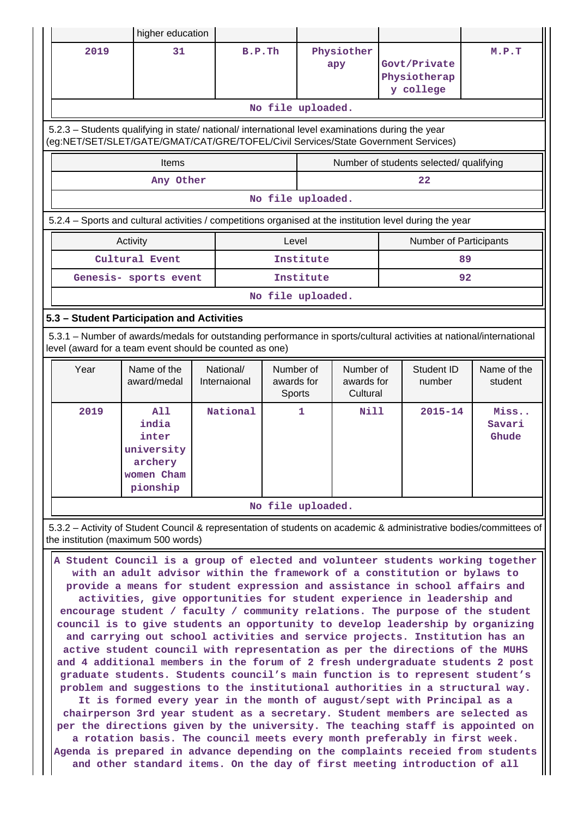|                                                                                                                                                                                                                                                                                                                                                                                                                                                                                                                                                                                                                                                                                                                                                                                                                                                                                                                                                                                                                                                                                                                                                                                                                                                                                                                                                                                                                                               | higher education                                                         |                           |                                   |                                     |                                                                                                                     |                         |  |  |  |
|-----------------------------------------------------------------------------------------------------------------------------------------------------------------------------------------------------------------------------------------------------------------------------------------------------------------------------------------------------------------------------------------------------------------------------------------------------------------------------------------------------------------------------------------------------------------------------------------------------------------------------------------------------------------------------------------------------------------------------------------------------------------------------------------------------------------------------------------------------------------------------------------------------------------------------------------------------------------------------------------------------------------------------------------------------------------------------------------------------------------------------------------------------------------------------------------------------------------------------------------------------------------------------------------------------------------------------------------------------------------------------------------------------------------------------------------------|--------------------------------------------------------------------------|---------------------------|-----------------------------------|-------------------------------------|---------------------------------------------------------------------------------------------------------------------|-------------------------|--|--|--|
| 2019                                                                                                                                                                                                                                                                                                                                                                                                                                                                                                                                                                                                                                                                                                                                                                                                                                                                                                                                                                                                                                                                                                                                                                                                                                                                                                                                                                                                                                          | 31                                                                       | B.P.Th                    |                                   | Physiother<br>apy                   | Govt/Private<br>Physiotherap<br>y college                                                                           | M.P.T                   |  |  |  |
|                                                                                                                                                                                                                                                                                                                                                                                                                                                                                                                                                                                                                                                                                                                                                                                                                                                                                                                                                                                                                                                                                                                                                                                                                                                                                                                                                                                                                                               |                                                                          |                           | No file uploaded.                 |                                     |                                                                                                                     |                         |  |  |  |
| 5.2.3 - Students qualifying in state/ national/ international level examinations during the year<br>(eg:NET/SET/SLET/GATE/GMAT/CAT/GRE/TOFEL/Civil Services/State Government Services)                                                                                                                                                                                                                                                                                                                                                                                                                                                                                                                                                                                                                                                                                                                                                                                                                                                                                                                                                                                                                                                                                                                                                                                                                                                        |                                                                          |                           |                                   |                                     |                                                                                                                     |                         |  |  |  |
|                                                                                                                                                                                                                                                                                                                                                                                                                                                                                                                                                                                                                                                                                                                                                                                                                                                                                                                                                                                                                                                                                                                                                                                                                                                                                                                                                                                                                                               | Items                                                                    |                           |                                   |                                     | Number of students selected/ qualifying                                                                             |                         |  |  |  |
| 22<br>Any Other                                                                                                                                                                                                                                                                                                                                                                                                                                                                                                                                                                                                                                                                                                                                                                                                                                                                                                                                                                                                                                                                                                                                                                                                                                                                                                                                                                                                                               |                                                                          |                           |                                   |                                     |                                                                                                                     |                         |  |  |  |
|                                                                                                                                                                                                                                                                                                                                                                                                                                                                                                                                                                                                                                                                                                                                                                                                                                                                                                                                                                                                                                                                                                                                                                                                                                                                                                                                                                                                                                               |                                                                          |                           | No file uploaded.                 |                                     |                                                                                                                     |                         |  |  |  |
|                                                                                                                                                                                                                                                                                                                                                                                                                                                                                                                                                                                                                                                                                                                                                                                                                                                                                                                                                                                                                                                                                                                                                                                                                                                                                                                                                                                                                                               |                                                                          |                           |                                   |                                     | 5.2.4 - Sports and cultural activities / competitions organised at the institution level during the year            |                         |  |  |  |
|                                                                                                                                                                                                                                                                                                                                                                                                                                                                                                                                                                                                                                                                                                                                                                                                                                                                                                                                                                                                                                                                                                                                                                                                                                                                                                                                                                                                                                               | Activity                                                                 |                           | Level                             |                                     |                                                                                                                     | Number of Participants  |  |  |  |
|                                                                                                                                                                                                                                                                                                                                                                                                                                                                                                                                                                                                                                                                                                                                                                                                                                                                                                                                                                                                                                                                                                                                                                                                                                                                                                                                                                                                                                               | Cultural Event                                                           |                           | Institute                         |                                     |                                                                                                                     | 89                      |  |  |  |
|                                                                                                                                                                                                                                                                                                                                                                                                                                                                                                                                                                                                                                                                                                                                                                                                                                                                                                                                                                                                                                                                                                                                                                                                                                                                                                                                                                                                                                               | Genesis- sports event                                                    |                           | Institute                         |                                     |                                                                                                                     | 92                      |  |  |  |
|                                                                                                                                                                                                                                                                                                                                                                                                                                                                                                                                                                                                                                                                                                                                                                                                                                                                                                                                                                                                                                                                                                                                                                                                                                                                                                                                                                                                                                               |                                                                          |                           | No file uploaded.                 |                                     |                                                                                                                     |                         |  |  |  |
|                                                                                                                                                                                                                                                                                                                                                                                                                                                                                                                                                                                                                                                                                                                                                                                                                                                                                                                                                                                                                                                                                                                                                                                                                                                                                                                                                                                                                                               | 5.3 - Student Participation and Activities                               |                           |                                   |                                     |                                                                                                                     |                         |  |  |  |
|                                                                                                                                                                                                                                                                                                                                                                                                                                                                                                                                                                                                                                                                                                                                                                                                                                                                                                                                                                                                                                                                                                                                                                                                                                                                                                                                                                                                                                               | level (award for a team event should be counted as one)                  |                           |                                   |                                     | 5.3.1 - Number of awards/medals for outstanding performance in sports/cultural activities at national/international |                         |  |  |  |
| Year                                                                                                                                                                                                                                                                                                                                                                                                                                                                                                                                                                                                                                                                                                                                                                                                                                                                                                                                                                                                                                                                                                                                                                                                                                                                                                                                                                                                                                          | Name of the<br>award/medal                                               | National/<br>Internaional | Number of<br>awards for<br>Sports | Number of<br>awards for<br>Cultural | Student ID<br>number                                                                                                | Name of the<br>student  |  |  |  |
| 2019                                                                                                                                                                                                                                                                                                                                                                                                                                                                                                                                                                                                                                                                                                                                                                                                                                                                                                                                                                                                                                                                                                                                                                                                                                                                                                                                                                                                                                          | A11<br>india<br>inter<br>university<br>archery<br>women Cham<br>pionship | National                  | 1                                 | <b>Nill</b>                         | $2015 - 14$                                                                                                         | Miss<br>Savari<br>Ghude |  |  |  |
|                                                                                                                                                                                                                                                                                                                                                                                                                                                                                                                                                                                                                                                                                                                                                                                                                                                                                                                                                                                                                                                                                                                                                                                                                                                                                                                                                                                                                                               |                                                                          |                           | No file uploaded.                 |                                     |                                                                                                                     |                         |  |  |  |
|                                                                                                                                                                                                                                                                                                                                                                                                                                                                                                                                                                                                                                                                                                                                                                                                                                                                                                                                                                                                                                                                                                                                                                                                                                                                                                                                                                                                                                               |                                                                          |                           |                                   |                                     | 5.3.2 – Activity of Student Council & representation of students on academic & administrative bodies/committees of  |                         |  |  |  |
| the institution (maximum 500 words)<br>A Student Council is a group of elected and volunteer students working together<br>with an adult advisor within the framework of a constitution or bylaws to<br>provide a means for student expression and assistance in school affairs and<br>activities, give opportunities for student experience in leadership and<br>encourage student / faculty / community relations. The purpose of the student<br>council is to give students an opportunity to develop leadership by organizing<br>and carrying out school activities and service projects. Institution has an<br>active student council with representation as per the directions of the MUHS<br>and 4 additional members in the forum of 2 fresh undergraduate students 2 post<br>graduate students. Students council's main function is to represent student's<br>problem and suggestions to the institutional authorities in a structural way.<br>It is formed every year in the month of august/sept with Principal as a<br>chairperson 3rd year student as a secretary. Student members are selected as<br>per the directions given by the university. The teaching staff is appointed on<br>a rotation basis. The council meets every month preferably in first week.<br>Agenda is prepared in advance depending on the complaints receied from students<br>and other standard items. On the day of first meeting introduction of all |                                                                          |                           |                                   |                                     |                                                                                                                     |                         |  |  |  |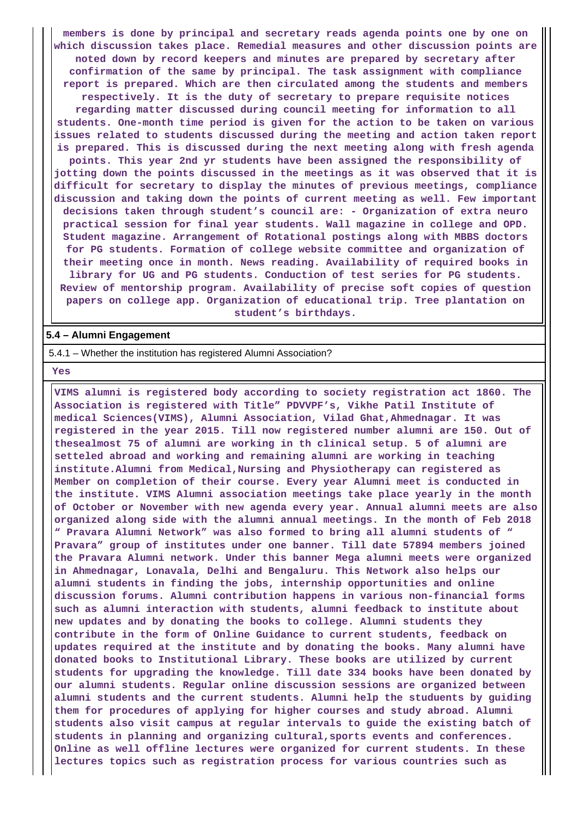**members is done by principal and secretary reads agenda points one by one on which discussion takes place. Remedial measures and other discussion points are noted down by record keepers and minutes are prepared by secretary after confirmation of the same by principal. The task assignment with compliance report is prepared. Which are then circulated among the students and members respectively. It is the duty of secretary to prepare requisite notices regarding matter discussed during council meeting for information to all students. One-month time period is given for the action to be taken on various issues related to students discussed during the meeting and action taken report is prepared. This is discussed during the next meeting along with fresh agenda points. This year 2nd yr students have been assigned the responsibility of jotting down the points discussed in the meetings as it was observed that it is difficult for secretary to display the minutes of previous meetings, compliance discussion and taking down the points of current meeting as well. Few important decisions taken through student's council are: - Organization of extra neuro practical session for final year students. Wall magazine in college and OPD. Student magazine. Arrangement of Rotational postings along with MBBS doctors for PG students. Formation of college website committee and organization of their meeting once in month. News reading. Availability of required books in library for UG and PG students. Conduction of test series for PG students. Review of mentorship program. Availability of precise soft copies of question papers on college app. Organization of educational trip. Tree plantation on student's birthdays.**

#### **5.4 – Alumni Engagement**

5.4.1 – Whether the institution has registered Alumni Association?

 **Yes**

 **VIMS alumni is registered body according to society registration act 1860. The Association is registered with Title" PDVVPF's, Vikhe Patil Institute of medical Sciences(VIMS), Alumni Association, Vilad Ghat,Ahmednagar. It was registered in the year 2015. Till now registered number alumni are 150. Out of thesealmost 75 of alumni are working in th clinical setup. 5 of alumni are setteled abroad and working and remaining alumni are working in teaching institute.Alumni from Medical,Nursing and Physiotherapy can registered as Member on completion of their course. Every year Alumni meet is conducted in the institute. VIMS Alumni association meetings take place yearly in the month of October or November with new agenda every year. Annual alumni meets are also organized along side with the alumni annual meetings. In the month of Feb 2018 " Pravara Alumni Network" was also formed to bring all alumni students of " Pravara" group of institutes under one banner. Till date 57894 members joined the Pravara Alumni network. Under this banner Mega alumni meets were organized in Ahmednagar, Lonavala, Delhi and Bengaluru. This Network also helps our alumni students in finding the jobs, internship opportunities and online discussion forums. Alumni contribution happens in various non-financial forms such as alumni interaction with students, alumni feedback to institute about new updates and by donating the books to college. Alumni students they contribute in the form of Online Guidance to current students, feedback on updates required at the institute and by donating the books. Many alumni have donated books to Institutional Library. These books are utilized by current students for upgrading the knowledge. Till date 334 books have been donated by our alumni students. Regular online discussion sessions are organized between alumni students and the current students. Alumni help the studuents by guiding them for procedures of applying for higher courses and study abroad. Alumni students also visit campus at regular intervals to guide the existing batch of students in planning and organizing cultural,sports events and conferences. Online as well offline lectures were organized for current students. In these lectures topics such as registration process for various countries such as**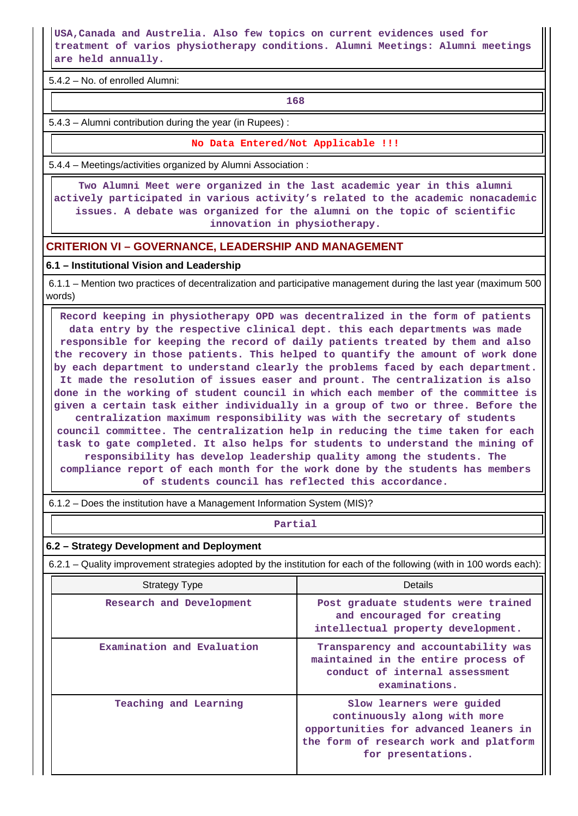**USA,Canada and Austrelia. Also few topics on current evidences used for treatment of varios physiotherapy conditions. Alumni Meetings: Alumni meetings are held annually.**

5.4.2 – No. of enrolled Alumni:

**168** 

5.4.3 – Alumni contribution during the year (in Rupees) :

**No Data Entered/Not Applicable !!!**

5.4.4 – Meetings/activities organized by Alumni Association :

 **Two Alumni Meet were organized in the last academic year in this alumni actively participated in various activity's related to the academic nonacademic issues. A debate was organized for the alumni on the topic of scientific innovation in physiotherapy.**

### **CRITERION VI – GOVERNANCE, LEADERSHIP AND MANAGEMENT**

### **6.1 – Institutional Vision and Leadership**

 6.1.1 – Mention two practices of decentralization and participative management during the last year (maximum 500 words)

 **Record keeping in physiotherapy OPD was decentralized in the form of patients data entry by the respective clinical dept. this each departments was made responsible for keeping the record of daily patients treated by them and also the recovery in those patients. This helped to quantify the amount of work done by each department to understand clearly the problems faced by each department. It made the resolution of issues easer and prount. The centralization is also done in the working of student council in which each member of the committee is given a certain task either individually in a group of two or three. Before the centralization maximum responsibility was with the secretary of students council committee. The centralization help in reducing the time taken for each task to gate completed. It also helps for students to understand the mining of responsibility has develop leadership quality among the students. The compliance report of each month for the work done by the students has members of students council has reflected this accordance.**

6.1.2 – Does the institution have a Management Information System (MIS)?

#### **Partial**

### **6.2 – Strategy Development and Deployment**

6.2.1 – Quality improvement strategies adopted by the institution for each of the following (with in 100 words each):

| <b>Strategy Type</b>       | Details                                                                                                                                                            |
|----------------------------|--------------------------------------------------------------------------------------------------------------------------------------------------------------------|
| Research and Development   | Post graduate students were trained<br>and encouraged for creating<br>intellectual property development.                                                           |
| Examination and Evaluation | Transparency and accountability was<br>maintained in the entire process of<br>conduct of internal assessment<br>examinations.                                      |
| Teaching and Learning      | Slow learners were quided<br>continuously along with more<br>opportunities for advanced leaners in<br>the form of research work and platform<br>for presentations. |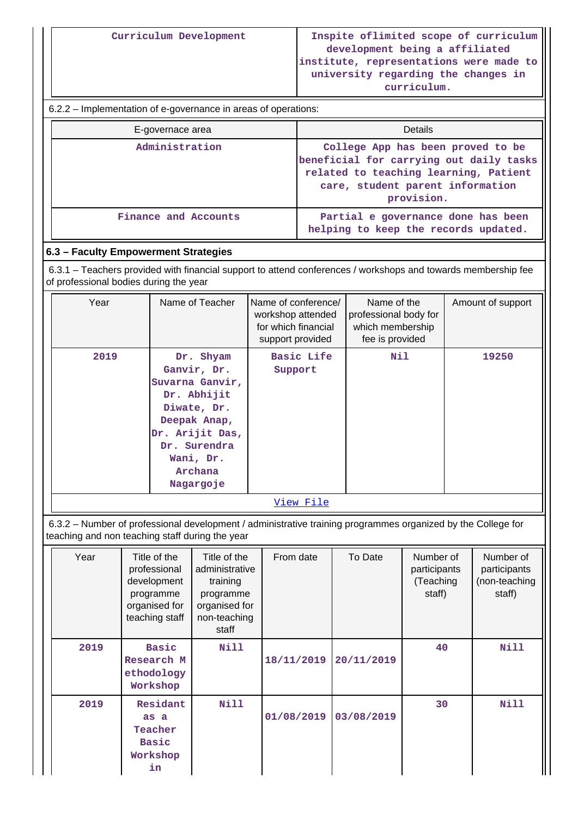6.2.2 – Implementation of e-governance in areas of operations:

| E-governace area     | Details                                                                                                                                                                 |
|----------------------|-------------------------------------------------------------------------------------------------------------------------------------------------------------------------|
| Administration       | College App has been proved to be<br>beneficial for carrying out daily tasks<br>related to teaching learning, Patient<br>care, student parent information<br>provision. |
| Finance and Accounts | Partial e governance done has been<br>helping to keep the records updated.                                                                                              |

# **6.3 – Faculty Empowerment Strategies**

 6.3.1 – Teachers provided with financial support to attend conferences / workshops and towards membership fee of professional bodies during the year

| Year | Name of Teacher                                                                                                                                                   | Name of conference/<br>workshop attended<br>for which financial<br>support provided | Name of the<br>professional body for<br>which membership<br>fee is provided | Amount of support |
|------|-------------------------------------------------------------------------------------------------------------------------------------------------------------------|-------------------------------------------------------------------------------------|-----------------------------------------------------------------------------|-------------------|
| 2019 | Dr. Shyam<br>Ganvir, Dr.<br>Suvarna Ganvir,<br>Dr. Abhijit<br>Diwate, Dr.<br>Deepak Anap,<br>Dr. Arijit Das,<br>Dr. Surendra<br>Wani, Dr.<br>Archana<br>Nagargoje | <b>Basic Life</b><br>Support                                                        | Nil                                                                         | 19250             |
|      |                                                                                                                                                                   | <u>View File</u>                                                                    |                                                                             |                   |

 6.3.2 – Number of professional development / administrative training programmes organized by the College for teaching and non teaching staff during the year

| Year | Title of the<br>professional<br>development<br>programme<br>organised for<br>teaching staff | Title of the<br>administrative<br>training<br>programme<br>organised for<br>non-teaching<br>staff | From date  | To Date    | Number of<br>participants<br>(Teaching<br>staff) | Number of<br>participants<br>(non-teaching<br>staff) |
|------|---------------------------------------------------------------------------------------------|---------------------------------------------------------------------------------------------------|------------|------------|--------------------------------------------------|------------------------------------------------------|
| 2019 | <b>Basic</b><br>Research M<br>ethodology<br>Workshop                                        | Nill                                                                                              | 18/11/2019 | 20/11/2019 | 40                                               | Nill                                                 |
| 2019 | Residant<br>as a<br>Teacher<br><b>Basic</b><br>Workshop<br>in                               | Nill                                                                                              | 01/08/2019 | 03/08/2019 | 30                                               | Nill                                                 |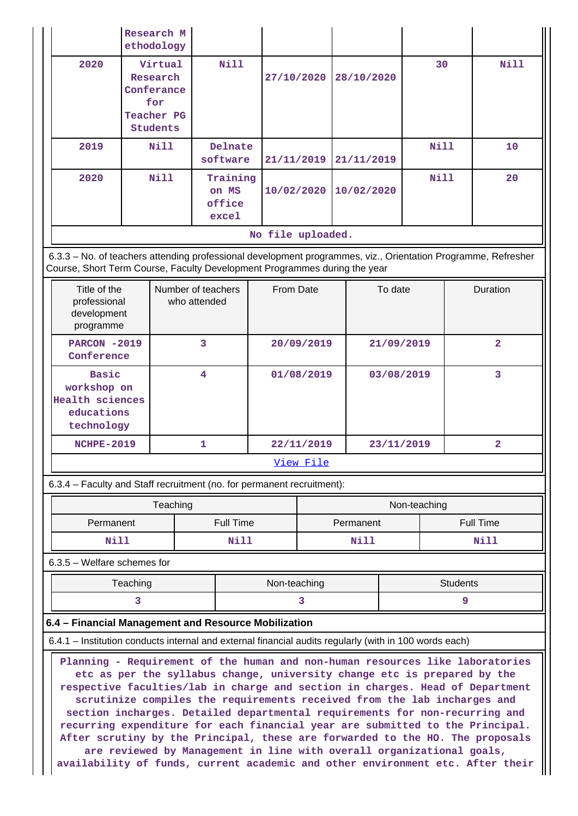|                                                                                                                                                                                            |                                                                                                                                                                                                                                                                                                                                                                                                                                                                                                                                                                                                                                                                                   | Research M<br>ethodology |                     |                                      |                   |            |            |            |                  |              |                 |                |
|--------------------------------------------------------------------------------------------------------------------------------------------------------------------------------------------|-----------------------------------------------------------------------------------------------------------------------------------------------------------------------------------------------------------------------------------------------------------------------------------------------------------------------------------------------------------------------------------------------------------------------------------------------------------------------------------------------------------------------------------------------------------------------------------------------------------------------------------------------------------------------------------|--------------------------|---------------------|--------------------------------------|-------------------|------------|------------|------------|------------------|--------------|-----------------|----------------|
| 2020                                                                                                                                                                                       | Virtual<br>Research<br>Conferance<br>for<br>Teacher PG<br><b>Students</b>                                                                                                                                                                                                                                                                                                                                                                                                                                                                                                                                                                                                         |                          |                     | Nill                                 |                   | 27/10/2020 |            | 28/10/2020 |                  | 30           |                 | <b>Nill</b>    |
| 2019                                                                                                                                                                                       |                                                                                                                                                                                                                                                                                                                                                                                                                                                                                                                                                                                                                                                                                   | Nill                     | Delnate<br>software |                                      |                   | 21/11/2019 |            | 21/11/2019 |                  | Nill         |                 | 10             |
| 2020                                                                                                                                                                                       | Nill                                                                                                                                                                                                                                                                                                                                                                                                                                                                                                                                                                                                                                                                              |                          |                     | Training<br>on MS<br>office<br>excel |                   | 10/02/2020 | 10/02/2020 |            |                  | Nill         |                 | 20             |
|                                                                                                                                                                                            |                                                                                                                                                                                                                                                                                                                                                                                                                                                                                                                                                                                                                                                                                   |                          |                     |                                      | No file uploaded. |            |            |            |                  |              |                 |                |
| 6.3.3 - No. of teachers attending professional development programmes, viz., Orientation Programme, Refresher<br>Course, Short Term Course, Faculty Development Programmes during the year |                                                                                                                                                                                                                                                                                                                                                                                                                                                                                                                                                                                                                                                                                   |                          |                     |                                      |                   |            |            |            |                  |              |                 |                |
| Title of the<br>professional<br>development<br>programme                                                                                                                                   |                                                                                                                                                                                                                                                                                                                                                                                                                                                                                                                                                                                                                                                                                   | Number of teachers       | who attended        |                                      | From Date         |            | To date    |            | <b>Duration</b>  |              |                 |                |
| <b>PARCON -2019</b><br>Conference                                                                                                                                                          |                                                                                                                                                                                                                                                                                                                                                                                                                                                                                                                                                                                                                                                                                   |                          | 3                   |                                      |                   | 20/09/2019 | 21/09/2019 |            |                  |              | $\overline{2}$  |                |
| technology                                                                                                                                                                                 | <b>Basic</b><br>workshop on<br><b>Health sciences</b><br>educations                                                                                                                                                                                                                                                                                                                                                                                                                                                                                                                                                                                                               |                          | 4                   |                                      |                   | 01/08/2019 |            |            | 03/08/2019       |              | 3               |                |
| <b>NCHPE-2019</b>                                                                                                                                                                          |                                                                                                                                                                                                                                                                                                                                                                                                                                                                                                                                                                                                                                                                                   |                          | 1                   |                                      |                   | 22/11/2019 |            |            |                  | 23/11/2019   |                 | $\overline{a}$ |
|                                                                                                                                                                                            |                                                                                                                                                                                                                                                                                                                                                                                                                                                                                                                                                                                                                                                                                   |                          |                     |                                      |                   | View File  |            |            |                  |              |                 |                |
| 6.3.4 - Faculty and Staff recruitment (no. for permanent recruitment):                                                                                                                     |                                                                                                                                                                                                                                                                                                                                                                                                                                                                                                                                                                                                                                                                                   |                          |                     |                                      |                   |            |            |            |                  |              |                 |                |
|                                                                                                                                                                                            |                                                                                                                                                                                                                                                                                                                                                                                                                                                                                                                                                                                                                                                                                   | Teaching                 |                     |                                      |                   |            |            |            |                  | Non-teaching |                 |                |
| Permanent                                                                                                                                                                                  |                                                                                                                                                                                                                                                                                                                                                                                                                                                                                                                                                                                                                                                                                   |                          |                     | <b>Full Time</b>                     |                   |            |            | Permanent  | <b>Full Time</b> |              |                 |                |
| Nill                                                                                                                                                                                       |                                                                                                                                                                                                                                                                                                                                                                                                                                                                                                                                                                                                                                                                                   |                          |                     | Nill                                 |                   |            | Nill       |            | Nill             |              |                 |                |
| 6.3.5 - Welfare schemes for                                                                                                                                                                |                                                                                                                                                                                                                                                                                                                                                                                                                                                                                                                                                                                                                                                                                   |                          |                     |                                      |                   |            |            |            |                  |              |                 |                |
|                                                                                                                                                                                            | Teaching                                                                                                                                                                                                                                                                                                                                                                                                                                                                                                                                                                                                                                                                          |                          |                     |                                      | Non-teaching      |            |            |            |                  |              | <b>Students</b> |                |
|                                                                                                                                                                                            | 3                                                                                                                                                                                                                                                                                                                                                                                                                                                                                                                                                                                                                                                                                 |                          |                     |                                      |                   |            |            |            |                  |              | 9               |                |
| 6.4 - Financial Management and Resource Mobilization                                                                                                                                       |                                                                                                                                                                                                                                                                                                                                                                                                                                                                                                                                                                                                                                                                                   |                          |                     |                                      |                   |            |            |            |                  |              |                 |                |
|                                                                                                                                                                                            |                                                                                                                                                                                                                                                                                                                                                                                                                                                                                                                                                                                                                                                                                   |                          |                     |                                      |                   |            |            |            |                  |              |                 |                |
|                                                                                                                                                                                            | 6.4.1 – Institution conducts internal and external financial audits regularly (with in 100 words each)<br>Planning - Requirement of the human and non-human resources like laboratories<br>etc as per the syllabus change, university change etc is prepared by the<br>respective faculties/lab in charge and section in charges. Head of Department<br>scrutinize compiles the requirements received from the lab incharges and<br>section incharges. Detailed departmental requirements for non-recurring and<br>recurring expenditure for each financial year are submitted to the Principal.<br>After scrutiny by the Principal, these are forwarded to the HO. The proposals |                          |                     |                                      |                   |            |            |            |                  |              |                 |                |

**are reviewed by Management in line with overall organizational goals, availability of funds, current academic and other environment etc. After their**

 $\parallel$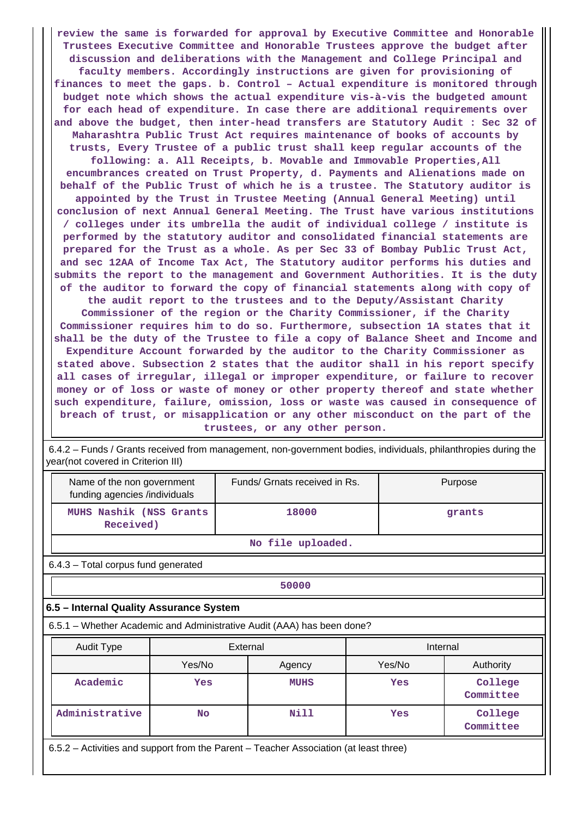**review the same is forwarded for approval by Executive Committee and Honorable Trustees Executive Committee and Honorable Trustees approve the budget after discussion and deliberations with the Management and College Principal and faculty members. Accordingly instructions are given for provisioning of finances to meet the gaps. b. Control – Actual expenditure is monitored through budget note which shows the actual expenditure vis-à-vis the budgeted amount for each head of expenditure. In case there are additional requirements over and above the budget, then inter-head transfers are Statutory Audit : Sec 32 of Maharashtra Public Trust Act requires maintenance of books of accounts by trusts, Every Trustee of a public trust shall keep regular accounts of the following: a. All Receipts, b. Movable and Immovable Properties,All encumbrances created on Trust Property, d. Payments and Alienations made on behalf of the Public Trust of which he is a trustee. The Statutory auditor is appointed by the Trust in Trustee Meeting (Annual General Meeting) until conclusion of next Annual General Meeting. The Trust have various institutions / colleges under its umbrella the audit of individual college / institute is performed by the statutory auditor and consolidated financial statements are prepared for the Trust as a whole. As per Sec 33 of Bombay Public Trust Act, and sec 12AA of Income Tax Act, The Statutory auditor performs his duties and submits the report to the management and Government Authorities. It is the duty of the auditor to forward the copy of financial statements along with copy of the audit report to the trustees and to the Deputy/Assistant Charity Commissioner of the region or the Charity Commissioner, if the Charity Commissioner requires him to do so. Furthermore, subsection 1A states that it shall be the duty of the Trustee to file a copy of Balance Sheet and Income and Expenditure Account forwarded by the auditor to the Charity Commissioner as stated above. Subsection 2 states that the auditor shall in his report specify all cases of irregular, illegal or improper expenditure, or failure to recover money or of loss or waste of money or other property thereof and state whether**

**such expenditure, failure, omission, loss or waste was caused in consequence of breach of trust, or misapplication or any other misconduct on the part of the trustees, or any other person.**

 6.4.2 – Funds / Grants received from management, non-government bodies, individuals, philanthropies during the year(not covered in Criterion III)

| Name of the non government<br>funding agencies /individuals                           |                                                                        | Funds/ Grnats received in Rs. |  | Purpose  |                      |  |  |  |
|---------------------------------------------------------------------------------------|------------------------------------------------------------------------|-------------------------------|--|----------|----------------------|--|--|--|
| MUHS Nashik (NSS Grants<br>Received)                                                  |                                                                        | 18000                         |  |          | grants               |  |  |  |
| No file uploaded.                                                                     |                                                                        |                               |  |          |                      |  |  |  |
|                                                                                       | 6.4.3 - Total corpus fund generated                                    |                               |  |          |                      |  |  |  |
|                                                                                       | 50000                                                                  |                               |  |          |                      |  |  |  |
| 6.5 - Internal Quality Assurance System                                               |                                                                        |                               |  |          |                      |  |  |  |
|                                                                                       | 6.5.1 – Whether Academic and Administrative Audit (AAA) has been done? |                               |  |          |                      |  |  |  |
| Audit Type                                                                            |                                                                        | External                      |  | Internal |                      |  |  |  |
|                                                                                       | Yes/No                                                                 | Agency                        |  | Yes/No   | Authority            |  |  |  |
| Academic                                                                              | Yes                                                                    | <b>MUHS</b>                   |  | Yes      | College<br>Committee |  |  |  |
| Administrative<br>Nill<br>College<br><b>No</b><br>Yes<br>Committee                    |                                                                        |                               |  |          |                      |  |  |  |
| 6.5.2 – Activities and support from the Parent – Teacher Association (at least three) |                                                                        |                               |  |          |                      |  |  |  |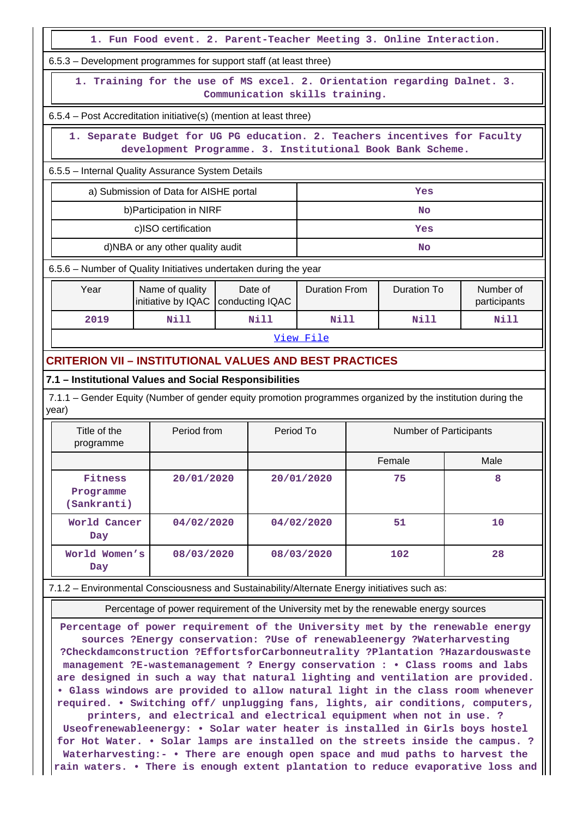|                                                                                                                                         | 1. Fun Food event. 2. Parent-Teacher Meeting 3. Online Interaction. |  |                            |                      |     |                    |    |                           |  |
|-----------------------------------------------------------------------------------------------------------------------------------------|---------------------------------------------------------------------|--|----------------------------|----------------------|-----|--------------------|----|---------------------------|--|
| 6.5.3 – Development programmes for support staff (at least three)                                                                       |                                                                     |  |                            |                      |     |                    |    |                           |  |
| 1. Training for the use of MS excel. 2. Orientation regarding Dalnet. 3.<br>Communication skills training.                              |                                                                     |  |                            |                      |     |                    |    |                           |  |
| 6.5.4 - Post Accreditation initiative(s) (mention at least three)                                                                       |                                                                     |  |                            |                      |     |                    |    |                           |  |
| 1. Separate Budget for UG PG education. 2. Teachers incentives for Faculty<br>development Programme. 3. Institutional Book Bank Scheme. |                                                                     |  |                            |                      |     |                    |    |                           |  |
| 6.5.5 - Internal Quality Assurance System Details                                                                                       |                                                                     |  |                            |                      |     |                    |    |                           |  |
| a) Submission of Data for AISHE portal<br>Yes                                                                                           |                                                                     |  |                            |                      |     |                    |    |                           |  |
|                                                                                                                                         | b) Participation in NIRF                                            |  |                            |                      |     | No                 |    |                           |  |
|                                                                                                                                         | c)ISO certification                                                 |  |                            |                      |     | Yes                |    |                           |  |
|                                                                                                                                         | d)NBA or any other quality audit                                    |  |                            |                      |     | No                 |    |                           |  |
| 6.5.6 - Number of Quality Initiatives undertaken during the year                                                                        |                                                                     |  |                            |                      |     |                    |    |                           |  |
| Year                                                                                                                                    | Name of quality<br>initiative by IQAC                               |  | Date of<br>conducting IQAC | <b>Duration From</b> |     | <b>Duration To</b> |    | Number of<br>participants |  |
| 2019                                                                                                                                    | Nill                                                                |  | Nill                       | Nill                 |     | Nill               |    | <b>Nill</b>               |  |
|                                                                                                                                         |                                                                     |  |                            | View File            |     |                    |    |                           |  |
| <b>CRITERION VII - INSTITUTIONAL VALUES AND BEST PRACTICES</b>                                                                          |                                                                     |  |                            |                      |     |                    |    |                           |  |
| 7.1 - Institutional Values and Social Responsibilities                                                                                  |                                                                     |  |                            |                      |     |                    |    |                           |  |
| 7.1.1 – Gender Equity (Number of gender equity promotion programmes organized by the institution during the<br>year)                    |                                                                     |  |                            |                      |     |                    |    |                           |  |
| Title of the<br>programme                                                                                                               | Period from<br>Period To<br>Number of Participants                  |  |                            |                      |     |                    |    |                           |  |
|                                                                                                                                         |                                                                     |  |                            |                      |     | Female             |    | Male                      |  |
| Fitness<br>Programme<br>(Sankranti)                                                                                                     | 20/01/2020                                                          |  |                            | 20/01/2020           |     | 75                 |    | 8                         |  |
| World Cancer<br>04/02/2020<br>Day                                                                                                       |                                                                     |  |                            | 04/02/2020           |     | 51                 |    | 10                        |  |
| World Women's<br>08/03/2020                                                                                                             |                                                                     |  | 08/03/2020                 |                      | 102 |                    | 28 |                           |  |

7.1.2 – Environmental Consciousness and Sustainability/Alternate Energy initiatives such as:

**Day**

Percentage of power requirement of the University met by the renewable energy sources

**Percentage of power requirement of the University met by the renewable energy sources ?Energy conservation: ?Use of renewableenergy ?Waterharvesting ?Checkdamconstruction ?EffortsforCarbonneutrality ?Plantation ?Hazardouswaste management ?E-wastemanagement ? Energy conservation : • Class rooms and labs are designed in such a way that natural lighting and ventilation are provided. • Glass windows are provided to allow natural light in the class room whenever required. • Switching off/ unplugging fans, lights, air conditions, computers, printers, and electrical and electrical equipment when not in use. ? Useofrenewableenergy: • Solar water heater is installed in Girls boys hostel**

**for Hot Water. • Solar lamps are installed on the streets inside the campus. ? Waterharvesting:- • There are enough open space and mud paths to harvest the rain waters. • There is enough extent plantation to reduce evaporative loss and**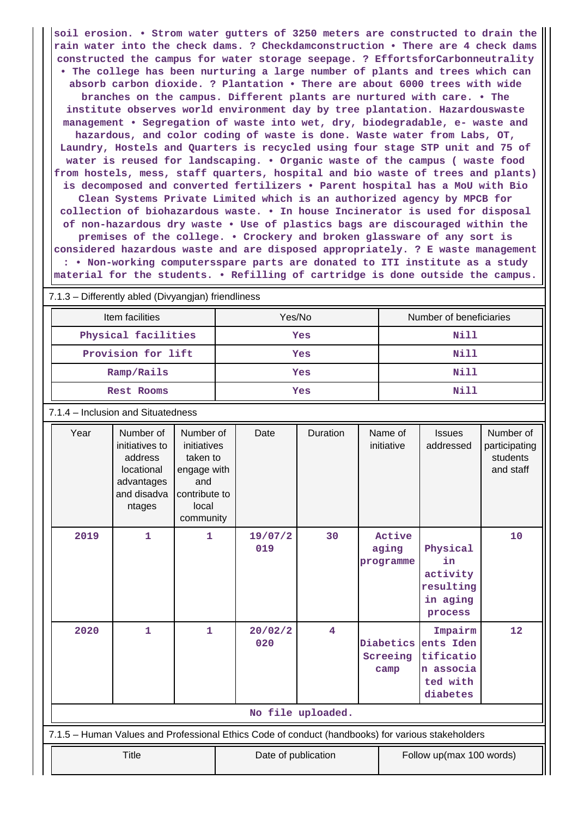**soil erosion. • Strom water gutters of 3250 meters are constructed to drain the rain water into the check dams. ? Checkdamconstruction • There are 4 check dams constructed the campus for water storage seepage. ? EffortsforCarbonneutrality • The college has been nurturing a large number of plants and trees which can absorb carbon dioxide. ? Plantation • There are about 6000 trees with wide branches on the campus. Different plants are nurtured with care. • The institute observes world environment day by tree plantation. Hazardouswaste management • Segregation of waste into wet, dry, biodegradable, e- waste and hazardous, and color coding of waste is done. Waste water from Labs, OT, Laundry, Hostels and Quarters is recycled using four stage STP unit and 75 of water is reused for landscaping. • Organic waste of the campus ( waste food from hostels, mess, staff quarters, hospital and bio waste of trees and plants) is decomposed and converted fertilizers • Parent hospital has a MoU with Bio Clean Systems Private Limited which is an authorized agency by MPCB for collection of biohazardous waste. • In house Incinerator is used for disposal of non-hazardous dry waste • Use of plastics bags are discouraged within the premises of the college. • Crockery and broken glassware of any sort is considered hazardous waste and are disposed appropriately. ? E waste management : • Non-working computersspare parts are donated to ITI institute as a study material for the students. • Refilling of cartridge is done outside the campus.**

7.1.3 – Differently abled (Divyangjan) friendliness

| Item facilities     | Yes/No | Number of beneficiaries |
|---------------------|--------|-------------------------|
| Physical facilities | Yes    | Nill                    |
| Provision for lift  | Yes    | Nill                    |
| Ramp/Rails          | Yes    | Nill                    |
| <b>Rest Rooms</b>   | Yes    | Nill                    |

7.1.4 – Inclusion and Situatedness

| Year                                                                                              | Number of<br>initiatives to<br>address<br>locational<br>advantages<br>and disadva<br>ntages | Number of<br>initiatives<br>taken to<br>engage with<br>and<br>contribute to<br>local<br>community | Date                | Duration | Name of<br>initiative         | <b>Issues</b><br>addressed                                             | Number of<br>participating<br>students<br>and staff |  |
|---------------------------------------------------------------------------------------------------|---------------------------------------------------------------------------------------------|---------------------------------------------------------------------------------------------------|---------------------|----------|-------------------------------|------------------------------------------------------------------------|-----------------------------------------------------|--|
| 2019                                                                                              | $\mathbf 1$                                                                                 | $\mathbf{1}$                                                                                      | 19/07/2<br>019      | 30       | Active<br>aging<br>programme  | Physical<br>in<br>activity<br>resulting<br>in aging<br>process         | 10                                                  |  |
| 2020                                                                                              | $\mathbf{1}$                                                                                | $\mathbf{1}$                                                                                      | 20/02/2<br>020      | 4        | Diabetics<br>Screeing<br>camp | Impairm<br>ents Iden<br>tificatio<br>n associa<br>ted with<br>diabetes | 12                                                  |  |
| No file uploaded.                                                                                 |                                                                                             |                                                                                                   |                     |          |                               |                                                                        |                                                     |  |
| 7.1.5 - Human Values and Professional Ethics Code of conduct (handbooks) for various stakeholders |                                                                                             |                                                                                                   |                     |          |                               |                                                                        |                                                     |  |
|                                                                                                   | <b>Title</b>                                                                                |                                                                                                   | Date of publication |          |                               | Follow up(max 100 words)                                               |                                                     |  |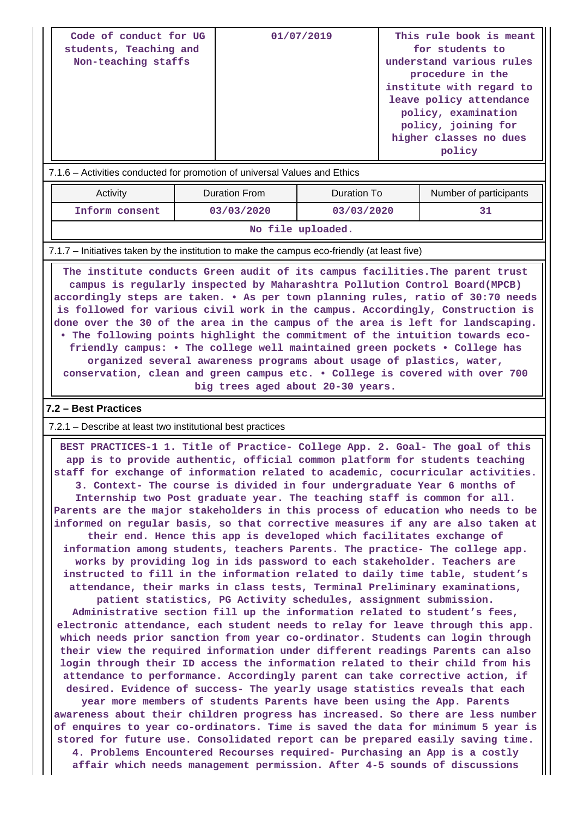| Code of conduct for UG<br>students, Teaching and<br>Non-teaching staffs               | 01/07/2019 | This rule book is meant<br>for students to<br>understand various rules<br>procedure in the<br>institute with regard to<br>leave policy attendance<br>policy, examination<br>policy, joining for<br>higher classes no dues<br>policy |
|---------------------------------------------------------------------------------------|------------|-------------------------------------------------------------------------------------------------------------------------------------------------------------------------------------------------------------------------------------|
| $\sqrt{716}$ $\sim$ Activities conducted for promotion of universal Values and Ethics |            |                                                                                                                                                                                                                                     |

### $\cdot$  Activities conducted for promotion of universal Values and Ethics

| Activity          | Duration From | Duration To | Number of participants |  |  |  |  |  |
|-------------------|---------------|-------------|------------------------|--|--|--|--|--|
| Inform consent    | 03/03/2020    | 03/03/2020  |                        |  |  |  |  |  |
| No file uploaded. |               |             |                        |  |  |  |  |  |

### 7.1.7 – Initiatives taken by the institution to make the campus eco-friendly (at least five)

 **The institute conducts Green audit of its campus facilities.The parent trust campus is regularly inspected by Maharashtra Pollution Control Board(MPCB) accordingly steps are taken. • As per town planning rules, ratio of 30:70 needs is followed for various civil work in the campus. Accordingly, Construction is done over the 30 of the area in the campus of the area is left for landscaping. • The following points highlight the commitment of the intuition towards ecofriendly campus: • The college well maintained green pockets • College has organized several awareness programs about usage of plastics, water, conservation, clean and green campus etc. • College is covered with over 700**

**big trees aged about 20-30 years.**

### **7.2 – Best Practices**

7.2.1 – Describe at least two institutional best practices

 **BEST PRACTICES-1 1. Title of Practice- College App. 2. Goal- The goal of this app is to provide authentic, official common platform for students teaching staff for exchange of information related to academic, cocurricular activities. 3. Context- The course is divided in four undergraduate Year 6 months of Internship two Post graduate year. The teaching staff is common for all. Parents are the major stakeholders in this process of education who needs to be informed on regular basis, so that corrective measures if any are also taken at their end. Hence this app is developed which facilitates exchange of information among students, teachers Parents. The practice- The college app. works by providing log in ids password to each stakeholder. Teachers are instructed to fill in the information related to daily time table, student's attendance, their marks in class tests, Terminal Preliminary examinations, patient statistics, PG Activity schedules, assignment submission. Administrative section fill up the information related to student's fees, electronic attendance, each student needs to relay for leave through this app. which needs prior sanction from year co-ordinator. Students can login through their view the required information under different readings Parents can also login through their ID access the information related to their child from his attendance to performance. Accordingly parent can take corrective action, if desired. Evidence of success- The yearly usage statistics reveals that each year more members of students Parents have been using the App. Parents awareness about their children progress has increased. So there are less number of enquires to year co-ordinators. Time is saved the data for minimum 5 year is stored for future use. Consolidated report can be prepared easily saving time. 4. Problems Encountered Recourses required- Purchasing an App is a costly affair which needs management permission. After 4-5 sounds of discussions**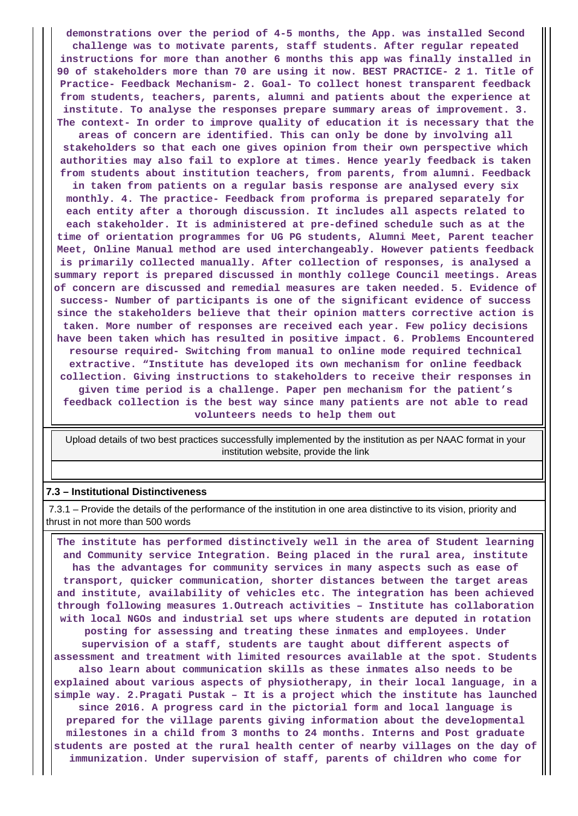**demonstrations over the period of 4-5 months, the App. was installed Second challenge was to motivate parents, staff students. After regular repeated instructions for more than another 6 months this app was finally installed in 90 of stakeholders more than 70 are using it now. BEST PRACTICE- 2 1. Title of Practice- Feedback Mechanism- 2. Goal- To collect honest transparent feedback from students, teachers, parents, alumni and patients about the experience at institute. To analyse the responses prepare summary areas of improvement. 3. The context- In order to improve quality of education it is necessary that the**

**areas of concern are identified. This can only be done by involving all stakeholders so that each one gives opinion from their own perspective which authorities may also fail to explore at times. Hence yearly feedback is taken from students about institution teachers, from parents, from alumni. Feedback**

**in taken from patients on a regular basis response are analysed every six monthly. 4. The practice- Feedback from proforma is prepared separately for each entity after a thorough discussion. It includes all aspects related to each stakeholder. It is administered at pre-defined schedule such as at the time of orientation programmes for UG PG students, Alumni Meet, Parent teacher Meet, Online Manual method are used interchangeably. However patients feedback is primarily collected manually. After collection of responses, is analysed a summary report is prepared discussed in monthly college Council meetings. Areas of concern are discussed and remedial measures are taken needed. 5. Evidence of success- Number of participants is one of the significant evidence of success since the stakeholders believe that their opinion matters corrective action is taken. More number of responses are received each year. Few policy decisions have been taken which has resulted in positive impact. 6. Problems Encountered resourse required- Switching from manual to online mode required technical extractive. "Institute has developed its own mechanism for online feedback collection. Giving instructions to stakeholders to receive their responses in given time period is a challenge. Paper pen mechanism for the patient's feedback collection is the best way since many patients are not able to read volunteers needs to help them out**

 Upload details of two best practices successfully implemented by the institution as per NAAC format in your institution website, provide the link

#### **7.3 – Institutional Distinctiveness**

 7.3.1 – Provide the details of the performance of the institution in one area distinctive to its vision, priority and thrust in not more than 500 words

 **The institute has performed distinctively well in the area of Student learning and Community service Integration. Being placed in the rural area, institute has the advantages for community services in many aspects such as ease of transport, quicker communication, shorter distances between the target areas and institute, availability of vehicles etc. The integration has been achieved through following measures 1.Outreach activities – Institute has collaboration with local NGOs and industrial set ups where students are deputed in rotation posting for assessing and treating these inmates and employees. Under supervision of a staff, students are taught about different aspects of assessment and treatment with limited resources available at the spot. Students also learn about communication skills as these inmates also needs to be explained about various aspects of physiotherapy, in their local language, in a simple way. 2.Pragati Pustak – It is a project which the institute has launched since 2016. A progress card in the pictorial form and local language is prepared for the village parents giving information about the developmental milestones in a child from 3 months to 24 months. Interns and Post graduate students are posted at the rural health center of nearby villages on the day of immunization. Under supervision of staff, parents of children who come for**